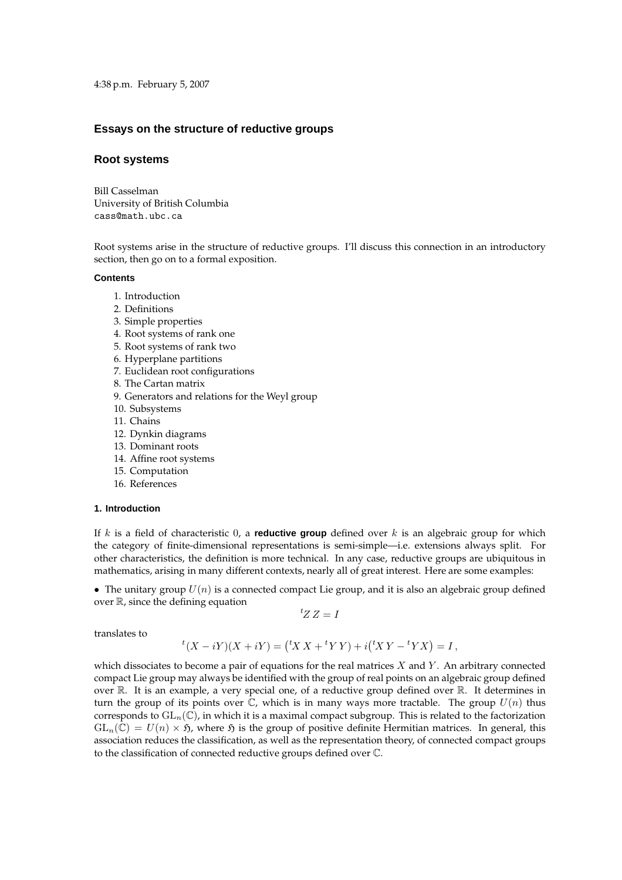4:38 p.m. February 5, 2007

# **Essays on the structure of reductive groups**

# **Root systems**

Bill Casselman University of British Columbia cass@math.ubc.ca

Root systems arise in the structure of reductive groups. I'll discuss this connection in an introductory section, then go on to a formal exposition.

### **Contents**

- 1. Introduction
- 2. Definitions
- 3. Simple properties
- 4. Root systems of rank one
- 5. Root systems of rank two
- 6. Hyperplane partitions
- 7. Euclidean root configurations
- 8. The Cartan matrix
- 9. Generators and relations for the Weyl group
- 10. Subsystems
- 11. Chains
- 12. Dynkin diagrams
- 13. Dominant roots
- 14. Affine root systems
- 15. Computation
- 16. References

# **1. Introduction**

If k is a field of characteristic 0, a **reductive group** defined over k is an algebraic group for which the category of finite-dimensional representations is semi-simple—i.e. extensions always split. For other characteristics, the definition is more technical. In any case, reductive groups are ubiquitous in mathematics, arising in many different contexts, nearly all of great interest. Here are some examples:

• The unitary group  $U(n)$  is a connected compact Lie group, and it is also an algebraic group defined over  $\mathbb R$ , since the defining equation

 ${}^tZ Z = I$ 

translates to

$$
{}^{t}(X - iY)(X + iY) = ({}^{t}X X + {}^{t}Y Y) + i({}^{t}X Y - {}^{t}Y X) = I,
$$

which dissociates to become a pair of equations for the real matrices  $X$  and  $Y$ . An arbitrary connected compact Lie group may always be identified with the group of real points on an algebraic group defined over R. It is an example, a very special one, of a reductive group defined over R. It determines in turn the group of its points over  $\mathbb C$ , which is in many ways more tractable. The group  $U(n)$  thus corresponds to  $GL_n(\mathbb{C})$ , in which it is a maximal compact subgroup. This is related to the factorization  $GL_n(\mathbb{C}) = U(n) \times \mathfrak{H}$ , where  $\mathfrak{H}$  is the group of positive definite Hermitian matrices. In general, this association reduces the classification, as well as the representation theory, of connected compact groups to the classification of connected reductive groups defined over C.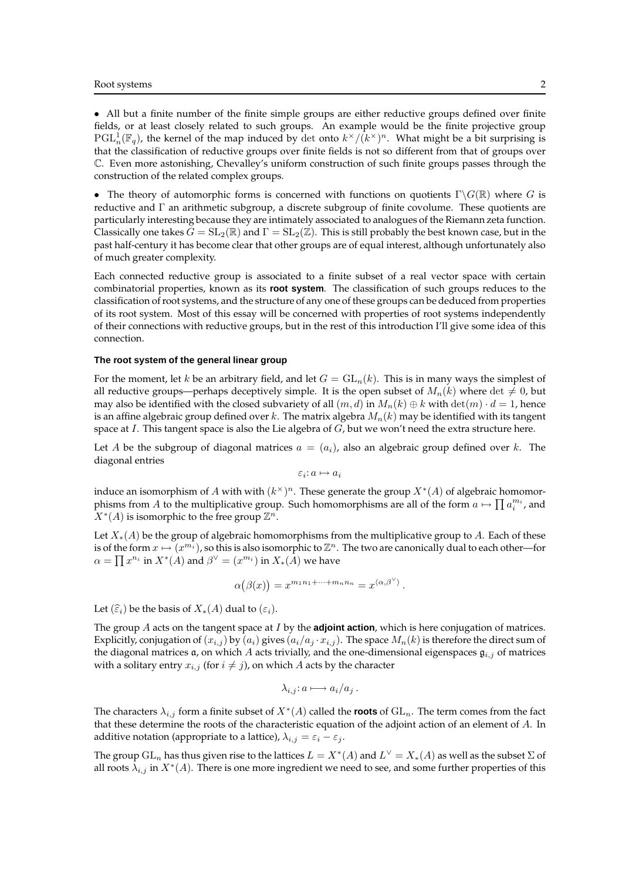• All but a finite number of the finite simple groups are either reductive groups defined over finite fields, or at least closely related to such groups. An example would be the finite projective group  $PGL_n^1(\mathbb{F}_q)$ , the kernel of the map induced by det onto  $k^\times/(k^\times)^n$ . What might be a bit surprising is that the classification of reductive groups over finite fields is not so different from that of groups over C. Even more astonishing, Chevalley's uniform construction of such finite groups passes through the construction of the related complex groups.

• The theory of automorphic forms is concerned with functions on quotients  $\Gamma \backslash G(\mathbb{R})$  where G is reductive and  $\Gamma$  an arithmetic subgroup, a discrete subgroup of finite covolume. These quotients are particularly interesting because they are intimately associated to analogues of the Riemann zeta function. Classically one takes  $G = SL_2(\mathbb{R})$  and  $\Gamma = SL_2(\mathbb{Z})$ . This is still probably the best known case, but in the past half-century it has become clear that other groups are of equal interest, although unfortunately also of much greater complexity.

Each connected reductive group is associated to a finite subset of a real vector space with certain combinatorial properties, known as its **root system**. The classification of such groups reduces to the classification of root systems, and the structure of any one of these groups can be deduced from properties of its root system. Most of this essay will be concerned with properties of root systems independently of their connections with reductive groups, but in the rest of this introduction I'll give some idea of this connection.

### **The root system of the general linear group**

For the moment, let k be an arbitrary field, and let  $G = GL_n(k)$ . This is in many ways the simplest of all reductive groups—perhaps deceptively simple. It is the open subset of  $M_n(k)$  where det  $\neq 0$ , but may also be identified with the closed subvariety of all  $(m, d)$  in  $M_n(k) \oplus k$  with  $\det(m) \cdot d = 1$ , hence is an affine algebraic group defined over k. The matrix algebra  $M_n(k)$  may be identified with its tangent space at  $I$ . This tangent space is also the Lie algebra of  $G$ , but we won't need the extra structure here.

Let A be the subgroup of diagonal matrices  $a = (a_i)$ , also an algebraic group defined over k. The diagonal entries

 $\varepsilon_i$ :  $a \mapsto a_i$ 

induce an isomorphism of A with with  $(k^{\times})^n$ . These generate the group  $X^*(A)$  of algebraic homomorphisms from A to the multiplicative group. Such homomorphisms are all of the form  $a \mapsto \prod a_i^{m_i}$ , and  $X^*(A)$  is isomorphic to the free group  $\mathbb{Z}^n$ .

Let  $X_*(A)$  be the group of algebraic homomorphisms from the multiplicative group to A. Each of these is of the form  $x \mapsto (x^{m_i})$ , so this is also isomorphic to  $\mathbb{Z}^n$ . The two are canonically dual to each other—for  $\alpha = \prod x^{n_i}$  in  $X^*(A)$  and  $\beta^\vee = (x^{m_i})$  in  $X_*(\hat{A})$  we have

$$
\alpha(\beta(x)) = x^{m_1 n_1 + \dots + m_n n_n} = x^{\langle \alpha, \beta^\vee \rangle}.
$$

Let  $(\widehat{\varepsilon}_i)$  be the basis of  $X_*(A)$  dual to  $(\varepsilon_i)$ .

The group A acts on the tangent space at I by the **adjoint action**, which is here conjugation of matrices. Explicitly, conjugation of  $(x_{i,j})$  by  $(a_i)$  gives  $(a_i/a_j \cdot x_{i,j})$ . The space  $M_n(k)$  is therefore the direct sum of the diagonal matrices  $\mathfrak a$ , on which A acts trivially, and the one-dimensional eigenspaces  $\mathfrak g_{i,j}$  of matrices with a solitary entry  $x_{i,j}$  (for  $i \neq j$ ), on which A acts by the character

$$
\lambda_{i,j}:a\longmapsto a_i/a_j.
$$

The characters  $\lambda_{i,j}$  form a finite subset of  $X^*(A)$  called the **roots** of  $\mathrm{GL}_n$ . The term comes from the fact that these determine the roots of the characteristic equation of the adjoint action of an element of A. In additive notation (appropriate to a lattice),  $\lambda_{i,j} = \varepsilon_i - \varepsilon_j$ .

The group  $\mathrm{GL}_n$  has thus given rise to the lattices  $L=X^*(A)$  and  $L^\vee=X_*(A)$  as well as the subset  $\Sigma$  of all roots  $\lambda_{i,j}$  in  $X^*(A)$ . There is one more ingredient we need to see, and some further properties of this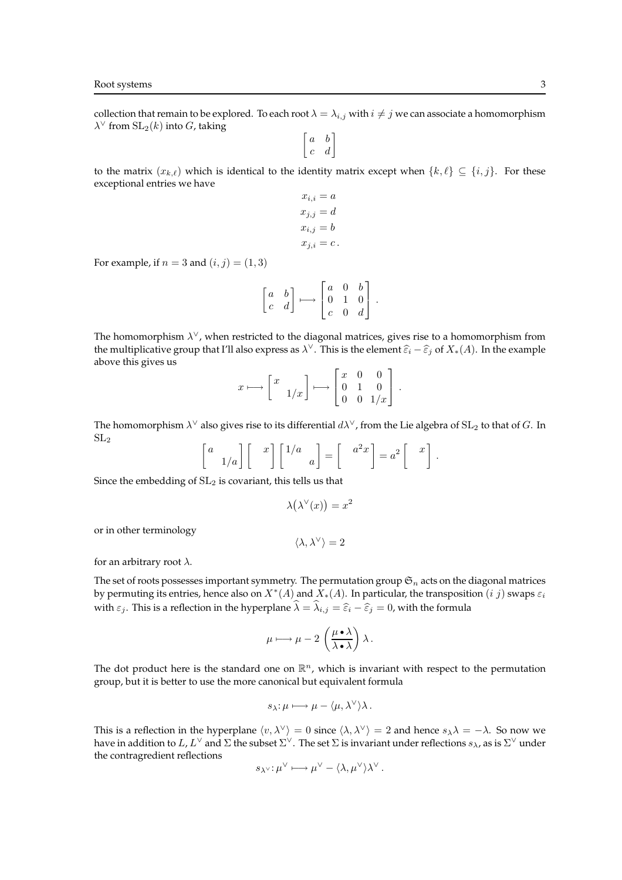collection that remain to be explored. To each root  $\lambda = \lambda_{i,j}$  with  $i \neq j$  we can associate a homomorphism  $\lambda^\vee$  from  $\mathrm{SL}_2(k)$  into  $G$ , taking

 $\begin{bmatrix} a & b \\ c & d \end{bmatrix}$ 

to the matrix  $(x_{k,\ell})$  which is identical to the identity matrix except when  $\{k,\ell\} \subseteq \{i,j\}$ . For these exceptional entries we have

$$
x_{i,i} = a
$$
  
\n
$$
x_{j,j} = d
$$
  
\n
$$
x_{i,j} = b
$$
  
\n
$$
x_{j,i} = c
$$
.

For example, if  $n = 3$  and  $(i, j) = (1, 3)$ 

$$
\begin{bmatrix} a & b \\ c & d \end{bmatrix} \longmapsto \begin{bmatrix} a & 0 & b \\ 0 & 1 & 0 \\ c & 0 & d \end{bmatrix}.
$$

The homomorphism  $\lambda^{\vee}$ , when restricted to the diagonal matrices, gives rise to a homomorphism from the multiplicative group that I'll also express as  $\lambda^{\vee}$ . This is the element  $\widehat{\varepsilon}_i - \widehat{\varepsilon}_j$  of  $X_*(A)$ . In the example above this gives us  $\overline{1}$ 

$$
x\longmapsto \left[\begin{array}{cc} x\\ & 1/x \end{array}\right]\longmapsto \left[\begin{array}{ccc} x&0&0\\ 0&1&0\\ 0&0&1/x \end{array}\right]\,.
$$

The homomorphism  $\lambda^\vee$  also gives rise to its differential  $d\lambda^\vee$ , from the Lie algebra of  $\mathrm{SL}_2$  to that of  $G.$  In  $SL<sub>2</sub>$ 

$$
\begin{bmatrix} a \\ 1/a \end{bmatrix} \begin{bmatrix} x \\ 1 \end{bmatrix} \begin{bmatrix} 1/a \\ a \end{bmatrix} = \begin{bmatrix} a^2x \\ 1 \end{bmatrix} = a^2 \begin{bmatrix} x \\ 1 \end{bmatrix}.
$$

Since the embedding of  $SL_2$  is covariant, this tells us that

$$
\lambda(\lambda^{\vee}(x)) = x^2
$$

or in other terminology

$$
\langle \lambda,\lambda^\vee\rangle=2
$$

for an arbitrary root  $\lambda$ .

The set of roots possesses important symmetry. The permutation group  $\mathfrak{S}_n$  acts on the diagonal matrices by permuting its entries, hence also on  $X^*(A)$  and  $X_*(A)$ . In particular, the transposition  $(i\ j)$  swaps  $\varepsilon_i$ with  $\varepsilon_j$ . This is a reflection in the hyperplane  $\widehat{\lambda} = \widehat{\lambda}_{i,j} = \widehat{\varepsilon}_i - \widehat{\varepsilon}_j = 0$ , with the formula

$$
\mu \longmapsto \mu - 2 \left( \frac{\mu \bullet \lambda}{\lambda \bullet \lambda} \right) \lambda.
$$

The dot product here is the standard one on  $\mathbb{R}^n$ , which is invariant with respect to the permutation group, but it is better to use the more canonical but equivalent formula

$$
s_{\lambda} : \mu \longmapsto \mu - \langle \mu, \lambda^{\vee} \rangle \lambda.
$$

This is a reflection in the hyperplane  $\langle v, \lambda^{\vee} \rangle = 0$  since  $\langle \lambda, \lambda^{\vee} \rangle = 2$  and hence  $s_{\lambda} \lambda = -\lambda$ . So now we have in addition to  $L$ ,  $L^\vee$  and  $\Sigma$  the subset  $\Sigma^\vee.$  The set  $\Sigma$  is invariant under reflections  $s_\lambda$ , as is  $\Sigma^\vee$  under the contragredient reflections

$$
s_{\lambda} \vee : \mu^{\vee} \longmapsto \mu^{\vee} - \langle \lambda, \mu^{\vee} \rangle \lambda^{\vee}.
$$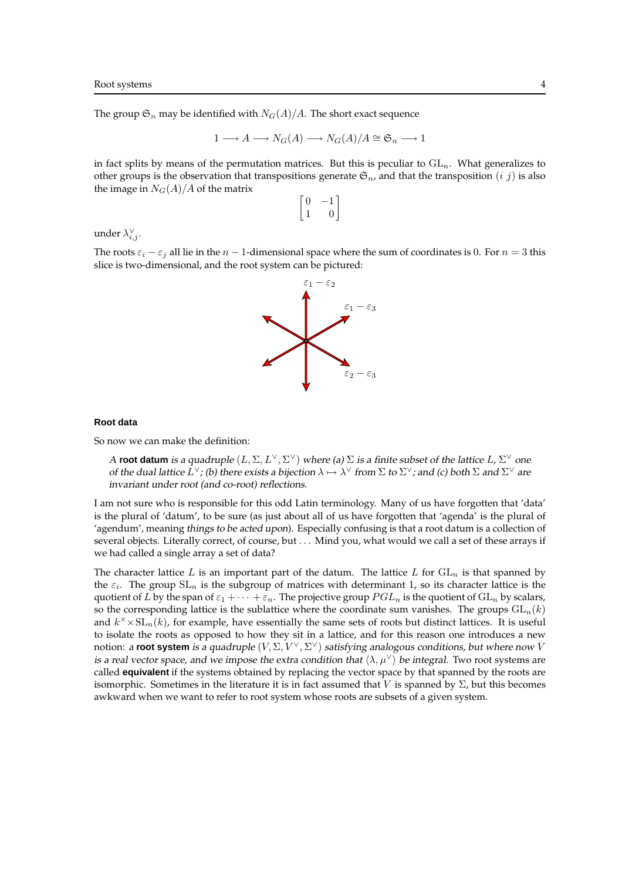The group  $\mathfrak{S}_n$  may be identified with  $N_G(A)/A$ . The short exact sequence

$$
1 \longrightarrow A \longrightarrow N_G(A) \longrightarrow N_G(A)/A \cong \mathfrak{S}_n \longrightarrow 1
$$

in fact splits by means of the permutation matrices. But this is peculiar to  $GL_n$ . What generalizes to other groups is the observation that transpositions generate  $\mathfrak{S}_n$ , and that the transposition  $(i, j)$  is also the image in  $N_G(A)/A$  of the matrix

$$
\begin{bmatrix} 0 & -1 \\ 1 & 0 \end{bmatrix}
$$

under  $\lambda_{i,j}^{\vee}$ .

The roots  $\varepsilon_i - \varepsilon_j$  all lie in the  $n - 1$ -dimensional space where the sum of coordinates is 0. For  $n = 3$  this slice is two-dimensional, and the root system can be pictured:



#### **Root data**

So now we can make the definition:

A **root datum** is a quadruple  $(L, \Sigma, L^\vee, \Sigma^\vee)$  where (a)  $\Sigma$  is a finite subset of the lattice  $L$ ,  $\Sigma^\vee$  one of the dual lattice  $L^\vee$ ; (b) there exists a bijection  $\lambda \mapsto \lambda^\vee$  from  $\Sigma$  to  $\Sigma^\vee$ ; and (c) both  $\Sigma$  and  $\Sigma^\vee$  are invariant under root (and co-root) reflections.

I am not sure who is responsible for this odd Latin terminology. Many of us have forgotten that 'data' is the plural of 'datum', to be sure (as just about all of us have forgotten that 'agenda' is the plural of 'agendum', meaning things to be acted upon). Especially confusing is that a root datum is a collection of several objects. Literally correct, of course, but . . . Mind you, what would we call a set of these arrays if we had called a single array a set of data?

The character lattice L is an important part of the datum. The lattice L for  $GL_n$  is that spanned by the  $\varepsilon_i$ . The group  $SL_n$  is the subgroup of matrices with determinant 1, so its character lattice is the quotient of L by the span of  $\varepsilon_1 + \cdots + \varepsilon_n$ . The projective group  $PGL_n$  is the quotient of  $GL_n$  by scalars, so the corresponding lattice is the sublattice where the coordinate sum vanishes. The groups  $GL_n(k)$ and  $k^{\times} \times SL_n(k)$ , for example, have essentially the same sets of roots but distinct lattices. It is useful to isolate the roots as opposed to how they sit in a lattice, and for this reason one introduces a new notion: a **root system** is a quadruple  $(V, \Sigma, V^\vee, \Sigma^\vee)$  satisfying analogous conditions, but where now V is a real vector space, and we impose the extra condition that  $\langle \lambda, \mu^{\vee} \rangle$  be integral. Two root systems are called **equivalent** if the systems obtained by replacing the vector space by that spanned by the roots are isomorphic. Sometimes in the literature it is in fact assumed that V is spanned by  $\Sigma$ , but this becomes awkward when we want to refer to root system whose roots are subsets of a given system.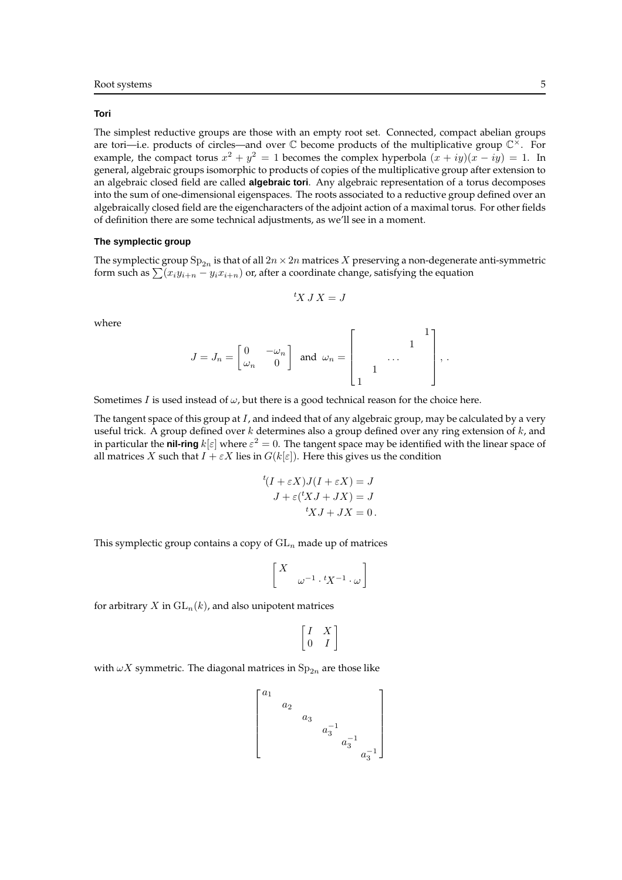#### **Tori**

The simplest reductive groups are those with an empty root set. Connected, compact abelian groups are tori—i.e. products of circles—and over  $\mathbb C$  become products of the multiplicative group  $\mathbb C^{\times}$ . For example, the compact torus  $x^2 + y^2 = 1$  becomes the complex hyperbola  $(x + iy)(x - iy) = 1$ . In general, algebraic groups isomorphic to products of copies of the multiplicative group after extension to an algebraic closed field are called **algebraic tori**. Any algebraic representation of a torus decomposes into the sum of one-dimensional eigenspaces. The roots associated to a reductive group defined over an algebraically closed field are the eigencharacters of the adjoint action of a maximal torus. For other fields of definition there are some technical adjustments, as we'll see in a moment.

### **The symplectic group**

The symplectic group  $\text{Sp}_{2n}$  is that of all  $2n\times 2n$  matrices  $X$  preserving a non-degenerate anti-symmetric form such as  $\sum (x_iy_{i+n} - y_ix_{i+n})$  or, after a coordinate change, satisfying the equation

$$
{}^tX\,J\,X=J
$$

where

$$
J = J_n = \begin{bmatrix} 0 & -\omega_n \\ \omega_n & 0 \end{bmatrix} \text{ and } \omega_n = \begin{bmatrix} 1 \\ 1 \end{bmatrix}, \dots
$$

Sometimes I is used instead of  $\omega$ , but there is a good technical reason for the choice here.

The tangent space of this group at  $I$ , and indeed that of any algebraic group, may be calculated by a very useful trick. A group defined over  $k$  determines also a group defined over any ring extension of  $k$ , and in particular the **nil-ring**  $k[\varepsilon]$  where  $\varepsilon^2=0$ . The tangent space may be identified with the linear space of all matrices X such that  $I + \varepsilon X$  lies in  $G(k|\varepsilon|)$ . Here this gives us the condition

$$
{}^{t}(I + \varepsilon X)J(I + \varepsilon X) = J
$$
  

$$
J + \varepsilon({}^{t}XJ + JX) = J
$$
  

$$
{}^{t}XJ + JX = 0.
$$

This symplectic group contains a copy of  $GL_n$  made up of matrices

$$
\begin{bmatrix} X & & \\ & \omega^{-1} \cdot {}^{t}X^{-1} \cdot \omega \end{bmatrix}
$$

for arbitrary X in  $GL_n(k)$ , and also unipotent matrices

$$
\begin{bmatrix} I & X \\ 0 & I \end{bmatrix}
$$

with  $\omega X$  symmetric. The diagonal matrices in  $\mathrm{Sp}_{2n}$  are those like

$$
\begin{bmatrix} a_1 & & & \\ & a_2 & & & \\ & & a_3 & & \\ & & & a_3^{-1} & \\ & & & & a_3^{-1} & \\ & & & & & a_3^{-1} \end{bmatrix}
$$

1  $\overline{1}$  $\overline{1}$  $\overline{1}$  $\overline{1}$  $\overline{1}$  $\overline{1}$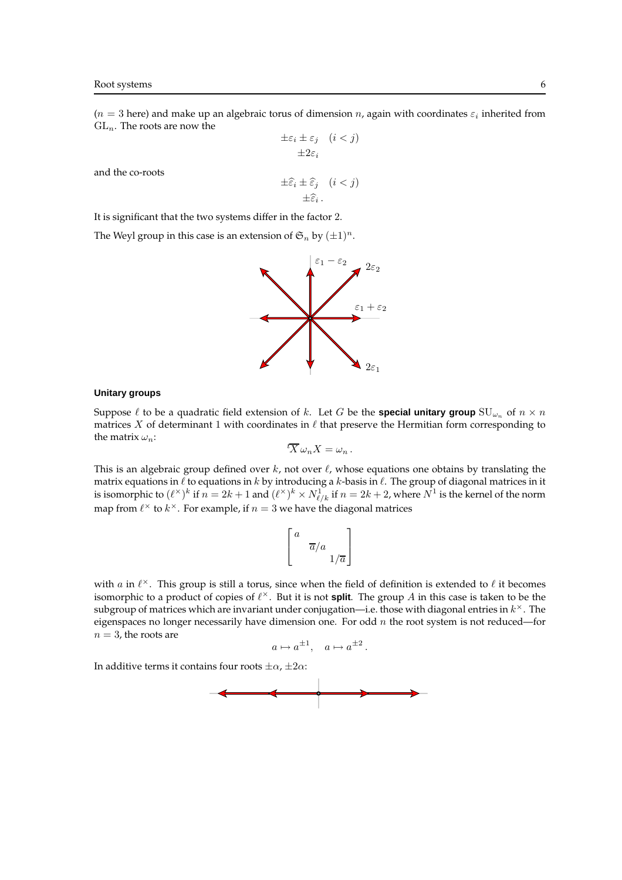$(n=3$  here) and make up an algebraic torus of dimension n, again with coordinates  $\varepsilon_i$  inherited from  ${\rm GL}_n.$  The roots are now the

$$
\pm \varepsilon_i \pm \varepsilon_j \quad (i < j)
$$

$$
\pm 2\varepsilon_i
$$

and the co-roots

$$
\pm \widehat{\varepsilon}_i \pm \widehat{\varepsilon}_j \quad (i < j)
$$

$$
\pm \widehat{\varepsilon}_i \, .
$$

It is significant that the two systems differ in the factor 2.

The Weyl group in this case is an extension of  $\mathfrak{S}_n$  by  $(\pm 1)^n$ .



### **Unitary groups**

Suppose  $\ell$  to be a quadratic field extension of k. Let G be the **special unitary group**  $SU_{\omega_n}$  of  $n \times n$ matrices  $X$  of determinant 1 with coordinates in  $\ell$  that preserve the Hermitian form corresponding to the matrix  $\omega_n$ :

$$
{}^t\overline{X}\,\omega_n X = \omega_n.
$$

This is an algebraic group defined over  $k$ , not over  $\ell$ , whose equations one obtains by translating the matrix equations in  $\ell$  to equations in  $k$  by introducing a  $k$ -basis in  $\ell$ . The group of diagonal matrices in it is isomorphic to  $(\ell^\times)^k$  if  $n=2k+1$  and  $(\ell^\times)^k\times N_{\ell/k}^1$  if  $n=2k+2$ , where  $N^1$  is the kernel of the norm map from  $\ell^\times$  to  $k^\times$ . For example, if  $n=3$  we have the diagonal matrices

$$
\left[ \begin{smallmatrix} a & & \\ & \overline{a}/a & \\ & & 1/\overline{a} \end{smallmatrix} \right]
$$

with a in  $\ell^\times$ . This group is still a torus, since when the field of definition is extended to  $\ell$  it becomes isomorphic to a product of copies of  $\ell^{\times}$ . But it is not **split**. The group A in this case is taken to be the subgroup of matrices which are invariant under conjugation—i.e. those with diagonal entries in  $k^\times$  . The eigenspaces no longer necessarily have dimension one. For odd  $n$  the root system is not reduced—for  $n = 3$ , the roots are

$$
a \mapsto a^{\pm 1}, \quad a \mapsto a^{\pm 2}.
$$

In additive terms it contains four roots  $\pm \alpha$ ,  $\pm 2\alpha$ :

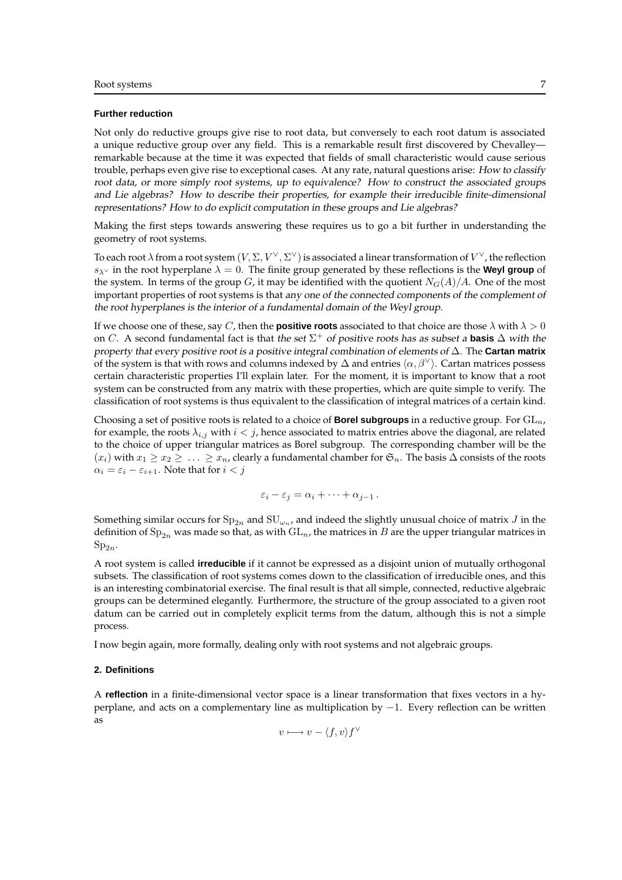#### **Further reduction**

Not only do reductive groups give rise to root data, but conversely to each root datum is associated a unique reductive group over any field. This is a remarkable result first discovered by Chevalley remarkable because at the time it was expected that fields of small characteristic would cause serious trouble, perhaps even give rise to exceptional cases. At any rate, natural questions arise: How to classify root data, or more simply root systems, up to equivalence? How to construct the associated groups and Lie algebras? How to describe their properties, for example their irreducible finite-dimensional representations? How to do explicit computation in these groups and Lie algebras?

Making the first steps towards answering these requires us to go a bit further in understanding the geometry of root systems.

To each root  $\lambda$  from a root system  $(V,\Sigma,V^\vee,\Sigma^\vee)$  is associated a linear transformation of  $V^\vee$  , the reflection s<sub>λ</sub> $\vee$  in the root hyperplane  $\lambda = 0$ . The finite group generated by these reflections is the **Weyl group** of the system. In terms of the group G, it may be identified with the quotient  $N_G(A)/A$ . One of the most important properties of root systems is that any one of the connected components of the complement of the root hyperplanes is the interior of <sup>a</sup> fundamental domain of the Weyl group.

If we choose one of these, say C, then the **positive roots** associated to that choice are those  $\lambda$  with  $\lambda > 0$ on C. A second fundamental fact is that the set  $\Sigma^+$  of positive roots has as subset a **basis**  $\Delta$  with the property that every positive root is <sup>a</sup> positive integral combination of elements of ∆. The **Cartan matrix** of the system is that with rows and columns indexed by  $\Delta$  and entries  $\langle \alpha, \beta^{\vee} \rangle$ . Cartan matrices possess certain characteristic properties I'll explain later. For the moment, it is important to know that a root system can be constructed from any matrix with these properties, which are quite simple to verify. The classification of root systems is thus equivalent to the classification of integral matrices of a certain kind.

Choosing a set of positive roots is related to a choice of **Borel subgroups** in a reductive group. For  $GL_n$ , for example, the roots  $\lambda_{i,j}$  with  $i < j$ , hence associated to matrix entries above the diagonal, are related to the choice of upper triangular matrices as Borel subgroup. The corresponding chamber will be the  $(x_i)$  with  $x_1 \ge x_2 \ge \ldots \ge x_n$ , clearly a fundamental chamber for  $\mathfrak{S}_n$ . The basis  $\Delta$  consists of the roots  $\alpha_i = \varepsilon_i - \varepsilon_{i+1}$ . Note that for  $i < j$ 

$$
\varepsilon_i-\varepsilon_j=\alpha_i+\cdots+\alpha_{j-1}.
$$

Something similar occurs for  ${\rm Sp}_{2n}$  and  ${\rm SU}_{\omega_n}$ , and indeed the slightly unusual choice of matrix  $J$  in the definition of  $Sp_{2n}$  was made so that, as with  $GL_n$ , the matrices in B are the upper triangular matrices in  $Sp_{2n}$ .

A root system is called **irreducible** if it cannot be expressed as a disjoint union of mutually orthogonal subsets. The classification of root systems comes down to the classification of irreducible ones, and this is an interesting combinatorial exercise. The final result is that all simple, connected, reductive algebraic groups can be determined elegantly. Furthermore, the structure of the group associated to a given root datum can be carried out in completely explicit terms from the datum, although this is not a simple process.

I now begin again, more formally, dealing only with root systems and not algebraic groups.

# **2. Definitions**

A **reflection** in a finite-dimensional vector space is a linear transformation that fixes vectors in a hyperplane, and acts on a complementary line as multiplication by −1. Every reflection can be written as

$$
v \longmapsto v - \langle f, v \rangle f^{\vee}
$$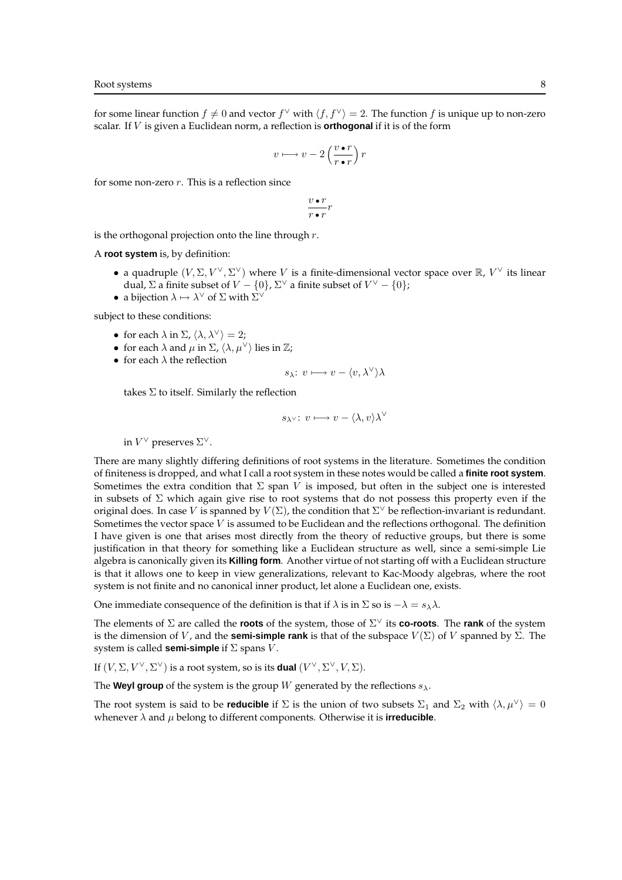for some linear function  $f \neq 0$  and vector  $f^{\vee}$  with  $\langle f, f^{\vee} \rangle = 2$ . The function f is unique up to non-zero scalar. If V is given a Euclidean norm, a reflection is **orthogonal** if it is of the form

$$
v \longmapsto v - 2\left(\frac{v \bullet r}{r \bullet r}\right) r
$$

for some non-zero  $r$ . This is a reflection since

$$
\frac{v\bullet r}{r\bullet r}r
$$

is the orthogonal projection onto the line through  $r$ .

A **root system** is, by definition:

- a quadruple  $(V, \Sigma, V^{\vee}, \Sigma^{\vee})$  where V is a finite-dimensional vector space over  $\mathbb{R}$ ,  $V^{\vee}$  its linear dual,  $\Sigma$  a finite subset of  $V - \{0\}$ ,  $\Sigma^{\vee}$  a finite subset of  $V^{\vee} - \{0\}$ ;
- a bijection  $\lambda \mapsto \lambda^{\vee}$  of  $\Sigma$  with  $\Sigma^{\vee}$

subject to these conditions:

- for each  $\lambda$  in  $\Sigma$ ,  $\langle \lambda, \lambda^{\vee} \rangle = 2$ ;
- for each  $\lambda$  and  $\mu$  in  $\Sigma$ ,  $\langle \lambda, \mu^{\vee} \rangle$  lies in  $\mathbb{Z}$ ;
- for each  $\lambda$  the reflection

$$
s_{\lambda}: v \longmapsto v - \langle v, \lambda^{\vee} \rangle \lambda
$$

takes  $\Sigma$  to itself. Similarly the reflection

$$
s_{\lambda^\vee}\colon\thinspace v\longmapsto v-\langle\lambda,v\rangle\lambda^\vee
$$

in  $V^{\vee}$  preserves  $\Sigma^{\vee}$ .

There are many slightly differing definitions of root systems in the literature. Sometimes the condition of finiteness is dropped, and what I call a root system in these notes would be called a **finite root system**. Sometimes the extra condition that  $\Sigma$  span V is imposed, but often in the subject one is interested in subsets of  $\Sigma$  which again give rise to root systems that do not possess this property even if the original does. In case V is spanned by  $V(\Sigma)$ , the condition that  $\Sigma^\vee$  be reflection-invariant is redundant. Sometimes the vector space V is assumed to be Euclidean and the reflections orthogonal. The definition I have given is one that arises most directly from the theory of reductive groups, but there is some justification in that theory for something like a Euclidean structure as well, since a semi-simple Lie algebra is canonically given its **Killing form**. Another virtue of not starting off with a Euclidean structure is that it allows one to keep in view generalizations, relevant to Kac-Moody algebras, where the root system is not finite and no canonical inner product, let alone a Euclidean one, exists.

One immediate consequence of the definition is that if  $\lambda$  is in  $\Sigma$  so is  $-\lambda = s_{\lambda}\lambda$ .

The elements of Σ are called the **roots** of the system, those of Σ <sup>∨</sup> its **co-roots**. The **rank** of the system is the dimension of V, and the **semi-simple rank** is that of the subspace  $V(\Sigma)$  of V spanned by  $\Sigma$ . The system is called **semi-simple** if Σ spans V .

If  $(V, \Sigma, V^{\vee}, \Sigma^{\vee})$  is a root system, so is its **dual**  $(V^{\vee}, \Sigma^{\vee}, V, \Sigma)$ .

The **Weyl group** of the system is the group W generated by the reflections  $s_{\lambda}$ .

The root system is said to be **reducible** if  $\Sigma$  is the union of two subsets  $\Sigma_1$  and  $\Sigma_2$  with  $\langle \lambda, \mu^\vee \rangle = 0$ whenever  $\lambda$  and  $\mu$  belong to different components. Otherwise it is **irreducible**.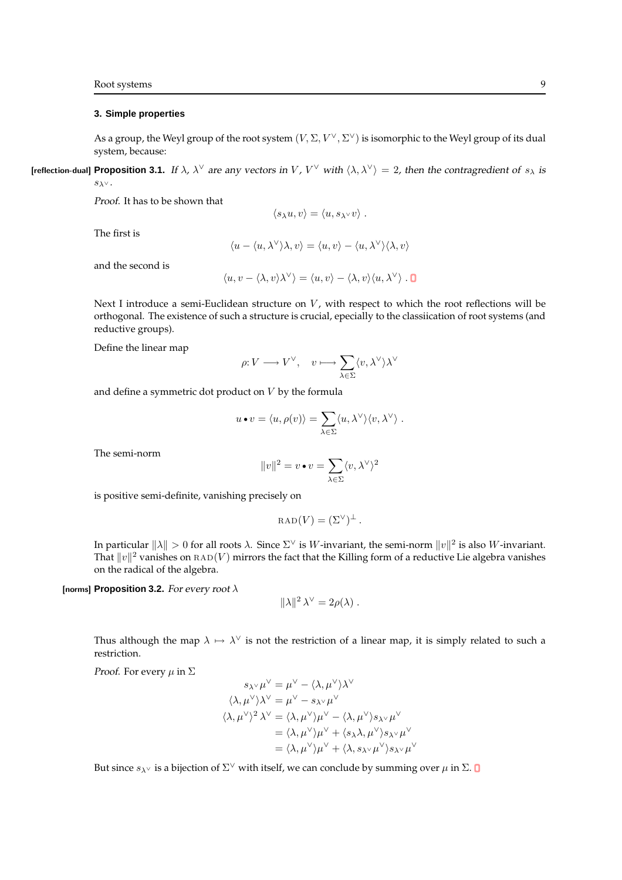### **3. Simple properties**

As a group, the Weyl group of the root system  $(V, \Sigma, V^\vee, \Sigma^\vee)$  is isomorphic to the Weyl group of its dual system, because:

**[reflection-dual] Proposition 3.1.** If  $\lambda$ ,  $\lambda^{\vee}$  are any vectors in V, V<sup> $\vee$ </sup> with  $\langle \lambda, \lambda^{\vee} \rangle = 2$ , then the contragredient of  $s_{\lambda}$  is  $s_\lambda$ ν.

Proof. It has to be shown that

$$
\langle s_\lambda u,v\rangle=\langle u,s_{\lambda^\vee}v\rangle
$$

The first is

$$
\langle u - \langle u, \lambda^{\vee} \rangle \lambda, v \rangle = \langle u, v \rangle - \langle u, \lambda^{\vee} \rangle \langle \lambda, v \rangle
$$

and the second is

$$
\langle u, v - \langle \lambda, v \rangle \lambda^\vee \rangle = \langle u, v \rangle - \langle \lambda, v \rangle \langle u, \lambda^\vee \rangle \cdot \mathbf{O}
$$

Next I introduce a semi-Euclidean structure on  $V$ , with respect to which the root reflections will be orthogonal. The existence of such a structure is crucial, epecially to the classiication of root systems (and reductive groups).

Define the linear map

$$
\rho\!:\! V\longrightarrow V^\vee,\quad v\longmapsto \sum_{\lambda\in\Sigma}\langle v,\lambda^\vee\rangle \lambda^\vee
$$

and define a symmetric dot product on  $V$  by the formula

$$
u \bullet v = \langle u, \rho(v) \rangle = \sum_{\lambda \in \Sigma} \langle u, \lambda^{\vee} \rangle \langle v, \lambda^{\vee} \rangle.
$$

The semi-norm

$$
||v||^2 = v \bullet v = \sum_{\lambda \in \Sigma} \langle v, \lambda^{\vee} \rangle^2
$$

is positive semi-definite, vanishing precisely on

$$
RAD(V) = (\Sigma^{\vee})^{\perp}.
$$

In particular  $\|\lambda\| > 0$  for all roots  $\lambda$ . Since  $\Sigma^{\vee}$  is W-invariant, the semi-norm  $\|v\|^2$  is also W-invariant. That  $\|v\|^2$  vanishes on  ${\rm RAD}(V)$  mirrors the fact that the Killing form of a reductive Lie algebra vanishes on the radical of the algebra.

[norms] **Proposition 3.2.** For every root λ

$$
\|\lambda\|^2 \lambda^{\vee} = 2\rho(\lambda) .
$$

Thus although the map  $\lambda \mapsto \lambda^{\vee}$  is not the restriction of a linear map, it is simply related to such a restriction.

∨

*Proof.* For every  $\mu$  in  $\Sigma$ 

$$
s_{\lambda\lambda} \mu^{\vee} = \mu^{\vee} - \langle \lambda, \mu^{\vee} \rangle \lambda^{\vee}
$$
  
\n
$$
\langle \lambda, \mu^{\vee} \rangle \lambda^{\vee} = \mu^{\vee} - s_{\lambda^{\vee}} \mu^{\vee}
$$
  
\n
$$
\langle \lambda, \mu^{\vee} \rangle^2 \lambda^{\vee} = \langle \lambda, \mu^{\vee} \rangle \mu^{\vee} - \langle \lambda, \mu^{\vee} \rangle s_{\lambda^{\vee}} \mu^{\vee}
$$
  
\n
$$
= \langle \lambda, \mu^{\vee} \rangle \mu^{\vee} + \langle s_{\lambda} \lambda, \mu^{\vee} \rangle s_{\lambda^{\vee}} \mu^{\vee}
$$
  
\n
$$
= \langle \lambda, \mu^{\vee} \rangle \mu^{\vee} + \langle \lambda, s_{\lambda^{\vee}} \mu^{\vee} \rangle s_{\lambda^{\vee}} \mu^{\vee}
$$

But since  $s_{\lambda^\vee}$  is a bijection of  $\Sigma^\vee$  with itself, we can conclude by summing over  $\mu$  in  $\Sigma.$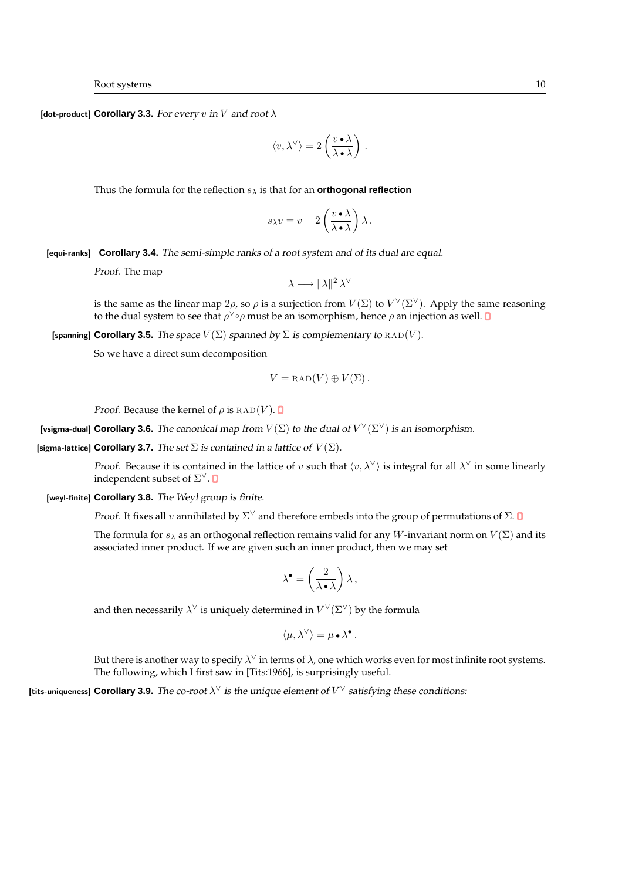[dot-product] **Corollary 3.3.** For every v in V and root  $\lambda$ 

$$
\langle v, \lambda^\vee \rangle = 2 \left( \frac{v \cdot \lambda}{\lambda \cdot \lambda} \right)
$$

.

Thus the formula for the reflection  $s_{\lambda}$  is that for an **orthogonal reflection** 

$$
s_{\lambda}v = v - 2\left(\frac{v \cdot \lambda}{\lambda \cdot \lambda}\right)\lambda.
$$

[equi-ranks] **Corollary 3.4.** The semi-simple ranks of <sup>a</sup> root system and of its dual are equal.

Proof. The map

$$
\lambda \longmapsto \|\lambda\|^2 \lambda^{\vee}
$$

is the same as the linear map  $2\rho$ , so  $\rho$  is a surjection from  $V(\Sigma)$  to  $V^{\vee}(\Sigma^{\vee})$ . Apply the same reasoning to the dual system to see that  $\rho^\vee{\circ}\rho$  must be an isomorphism, hence  $\rho$  an injection as well.

[spanning] **Corollary 3.5.** The space  $V(\Sigma)$  spanned by  $\Sigma$  is complementary to  $\text{RAD}(V)$ .

So we have a direct sum decomposition

$$
V = \text{RAD}(V) \oplus V(\Sigma).
$$

*Proof.* Because the kernel of  $\rho$  is  $\text{RAD}(V)$ .

[vsigma-dual] Corollary 3.6. The canonical map from  $V(\Sigma)$  to the dual of  $V^{\vee}(\Sigma^{\vee})$  is an isomorphism.

[sigma-lattice] **Corollary 3.7.** The set  $\Sigma$  is contained in a lattice of  $V(\Sigma)$ .

*Proof.* Because it is contained in the lattice of v such that  $\langle v, \lambda^{\vee} \rangle$  is integral for all  $\lambda^{\vee}$  in some linearly independent subset of  $\Sigma^\vee.$ 

[weyl-finite] **Corollary 3.8.** The Weyl group is finite.

*Proof.* It fixes all v annihilated by  $\Sigma^{\vee}$  and therefore embeds into the group of permutations of  $\Sigma$ .

The formula for  $s_\lambda$  as an orthogonal reflection remains valid for any W-invariant norm on  $V(\Sigma)$  and its associated inner product. If we are given such an inner product, then we may set

$$
\lambda^\bullet = \left(\frac{2}{\lambda \bullet \lambda}\right) \lambda \,,
$$

and then necessarily  $\lambda^\vee$  is uniquely determined in  $V^\vee(\Sigma^\vee)$  by the formula

$$
\langle \mu, \lambda^{\vee} \rangle = \mu \bullet \lambda^{\bullet}.
$$

But there is another way to specify  $\lambda^\vee$  in terms of  $\lambda$ , one which works even for most infinite root systems. The following, which I first saw in [Tits:1966], is surprisingly useful.

[tits-uniqueness] Corollary 3.9. The co-root  $\lambda^{\vee}$  is the unique element of  $V^{\vee}$  satisfying these conditions: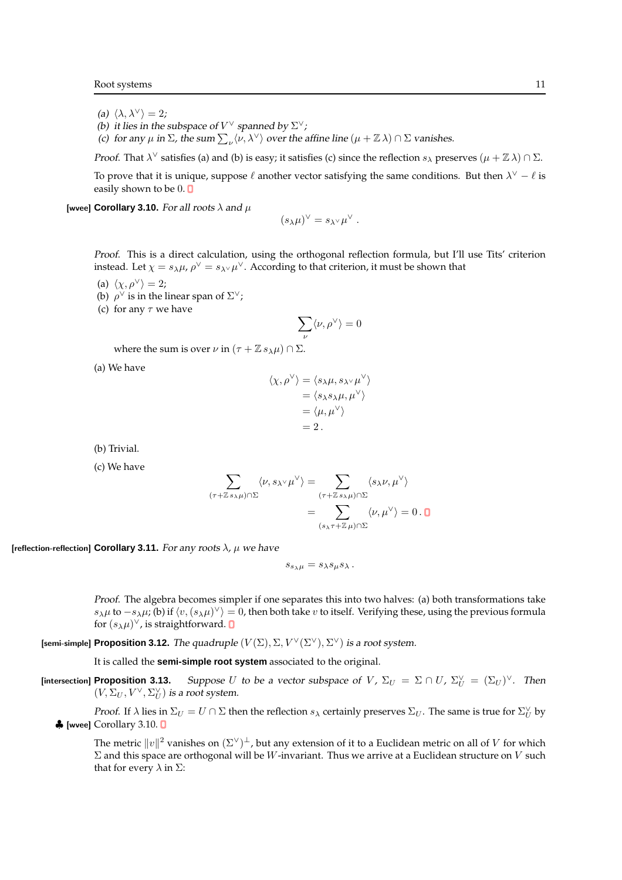- (a)  $\langle \lambda, \lambda^{\vee} \rangle = 2;$
- (b) it lies in the subspace of  $V^{\vee}$  spanned by  $\Sigma^{\vee}$ ;
- (c) for any  $\mu$  in  $\Sigma$ , the sum  $\sum_{\nu} \langle \nu, \lambda^{\vee} \rangle$  over the affine line  $(\mu + \mathbb{Z} \lambda) \cap \Sigma$  vanishes.

*Proof.* That  $\lambda^{\vee}$  satisfies (a) and (b) is easy; it satisfies (c) since the reflection  $s_{\lambda}$  preserves  $(\mu + \mathbb{Z}\lambda) \cap \Sigma$ .

To prove that it is unique, suppose  $\ell$  another vector satisfying the same conditions. But then  $\lambda^{\vee} - \ell$  is easily shown to be  $0. \blacksquare$ 

[wvee] **Corollary 3.10.** For all roots  $\lambda$  and  $\mu$ 

$$
(s_\lambda\mu)^\vee=s_{\lambda^\vee}\mu^\vee.
$$

Proof. This is a direct calculation, using the orthogonal reflection formula, but I'll use Tits' criterion instead. Let  $\chi=s_\lambda\mu$ ,  $\rho^\vee=s_{\lambda^\vee}\mu^\vee$ . According to that criterion, it must be shown that

- (a)  $\langle \chi, \rho^{\vee} \rangle = 2;$
- (b)  $\rho^{\vee}$  is in the linear span of  $\Sigma^{\vee}$ ;
- (c) for any  $\tau$  we have

$$
\sum_\nu \langle \nu, \rho^\vee \rangle = 0
$$

where the sum is over  $\nu$  in  $(\tau + \mathbb{Z} s_\lambda \mu) \cap \Sigma$ .

(a) We have

$$
\langle \chi, \rho^{\vee} \rangle = \langle s_{\lambda} \mu, s_{\lambda^{\vee}} \mu^{\vee} \rangle
$$
  
=  $\langle s_{\lambda} s_{\lambda} \mu, \mu^{\vee} \rangle$   
=  $\langle \mu, \mu^{\vee} \rangle$   
= 2.

(b) Trivial.

(c) We have

$$
\sum_{(\tau+\mathbb{Z}s_{\lambda}\mu)\cap\Sigma}\langle\nu,s_{\lambda^{\vee}}\mu^{\vee}\rangle = \sum_{(\tau+\mathbb{Z}s_{\lambda}\mu)\cap\Sigma}\langle s_{\lambda}\nu,\mu^{\vee}\rangle
$$

$$
=\sum_{(s_{\lambda}\tau+\mathbb{Z}\mu)\cap\Sigma}\langle\nu,\mu^{\vee}\rangle = 0.\mathbf{0}
$$

[reflection-reflection] **Corollary 3.11.** For any roots  $\lambda$ ,  $\mu$  we have

 $s_{s\lambda\mu} = s_{\lambda} s_{\mu} s_{\lambda}$ .

Proof. The algebra becomes simpler if one separates this into two halves: (a) both transformations take  $s_\lambda\mu$  to  $-s_\lambda\mu$ ; (b) if  $\langle v,(s_\lambda\mu)^\vee\rangle=0$ , then both take  $v$  to itself. Verifying these, using the previous formula for  $(s_{\lambda}\mu)^{\vee}$ , is straightforward.

[semi-simple] Proposition 3.12. The quadruple  $(V(\Sigma), \Sigma, V^{\vee}(\Sigma^{\vee}), \Sigma^{\vee})$  is a root system.

It is called the **semi-simple root system** associated to the original.

[intersection] **Proposition 3.13.** Suppose U to be a vector subspace of V,  $\Sigma_U = \Sigma \cap U$ ,  $\Sigma_U^{\vee} = (\Sigma_U)^{\vee}$ . Then  $(V,\Sigma_U,V^\vee,\Sigma_U^\vee)$  is a root system.

*Proof.* If  $\lambda$  lies in  $\Sigma_U = U \cap \Sigma$  then the reflection  $s_\lambda$  certainly preserves  $\Sigma_U$ . The same is true for  $\Sigma_U^{\vee}$  by ♣ [wvee] Corollary 3.10.

The metric  $||v||^2$  vanishes on  $(\Sigma^\vee)^\perp$ , but any extension of it to a Euclidean metric on all of  $V$  for which  $\Sigma$  and this space are orthogonal will be W-invariant. Thus we arrive at a Euclidean structure on V such that for every  $λ$  in  $Σ$ :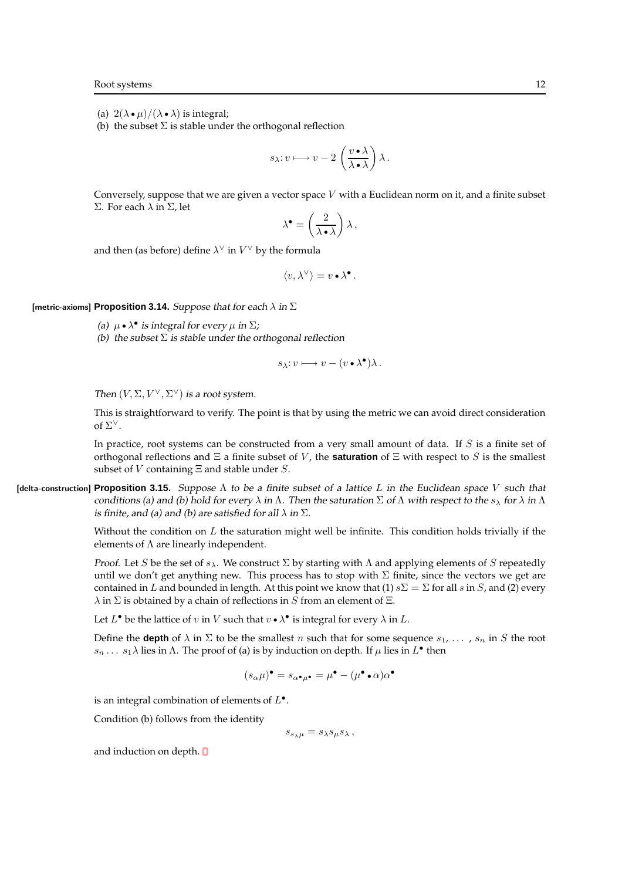(a)  $2(\lambda \bullet \mu)/(\lambda \bullet \lambda)$  is integral;

(b) the subset  $\Sigma$  is stable under the orthogonal reflection

$$
s_\lambda\hbox{:}\ v\longmapsto v-2\,\left(\frac{v\bullet\lambda}{\lambda\bullet\lambda}\right)\lambda\,.
$$

Conversely, suppose that we are given a vector space  $V$  with a Euclidean norm on it, and a finite subset Σ. For each λ in Σ, let

$$
\lambda^\bullet = \left(\frac{2}{\lambda \bullet \lambda}\right) \lambda\,,
$$

and then (as before) define  $\lambda^\vee$  in  $V^\vee$  by the formula

$$
\langle v, \lambda^{\vee} \rangle = v \bullet \lambda^{\bullet}.
$$

[metric-axioms] **Proposition 3.14.** Suppose that for each  $\lambda$  in  $\Sigma$ 

- (a)  $\mu \bullet \lambda^{\bullet}$  is integral for every  $\mu$  in  $\Sigma$ ;
- (b) the subset  $\Sigma$  is stable under the orthogonal reflection

$$
s_{\lambda}:v\longmapsto v-(v\bullet\lambda^{\bullet})\lambda.
$$

Then  $(V, \Sigma, V^{\vee}, \Sigma^{\vee})$  is a root system.

This is straightforward to verify. The point is that by using the metric we can avoid direct consideration of  $\Sigma^{\vee}$ .

In practice, root systems can be constructed from a very small amount of data. If S is a finite set of orthogonal reflections and Ξ a finite subset of V , the **saturation** of Ξ with respect to S is the smallest subset of *V* containing  $\Xi$  and stable under *S*.

[delta-construction] **Proposition 3.15.** Suppose Λ to be <sup>a</sup> finite subset of <sup>a</sup> lattice L in the Euclidean space V such that conditions (a) and (b) hold for every  $\lambda$  in  $\Lambda$ . Then the saturation  $\Sigma$  of  $\Lambda$  with respect to the  $s_\lambda$  for  $\lambda$  in  $\Lambda$ is finite, and (a) and (b) are satisfied for all  $\lambda$  in  $\Sigma$ .

> Without the condition on  $L$  the saturation might well be infinite. This condition holds trivially if the elements of  $\Lambda$  are linearly independent.

> Proof. Let S be the set of  $s_\lambda$ . We construct Σ by starting with Λ and applying elements of S repeatedly until we don't get anything new. This process has to stop with  $\Sigma$  finite, since the vectors we get are contained in L and bounded in length. At this point we know that (1)  $s\Sigma = \Sigma$  for all s in S, and (2) every  $\lambda$  in  $\Sigma$  is obtained by a chain of reflections in S from an element of  $\Xi$ .

Let  $L^{\bullet}$  be the lattice of  $v$  in  $V$  such that  $v \bullet \lambda^{\bullet}$  is integral for every  $\lambda$  in  $L$ .

Define the **depth** of  $\lambda$  in  $\Sigma$  to be the smallest n such that for some sequence  $s_1, \ldots, s_n$  in S the root  $s_n \dots s_1 \lambda$  lies in  $\Lambda$ . The proof of (a) is by induction on depth. If  $\mu$  lies in  $L^{\bullet}$  then

$$
(s_{\alpha}\mu)^{\bullet} = s_{\alpha^{\bullet}\mu^{\bullet}} = \mu^{\bullet} - (\mu^{\bullet} \cdot \alpha)\alpha^{\bullet}
$$

is an integral combination of elements of  $L^{\bullet}$ .

Condition (b) follows from the identity

 $s_{s\lambda\mu} = s_{\lambda} s_{\mu} s_{\lambda}$ ,

and induction on depth. **D**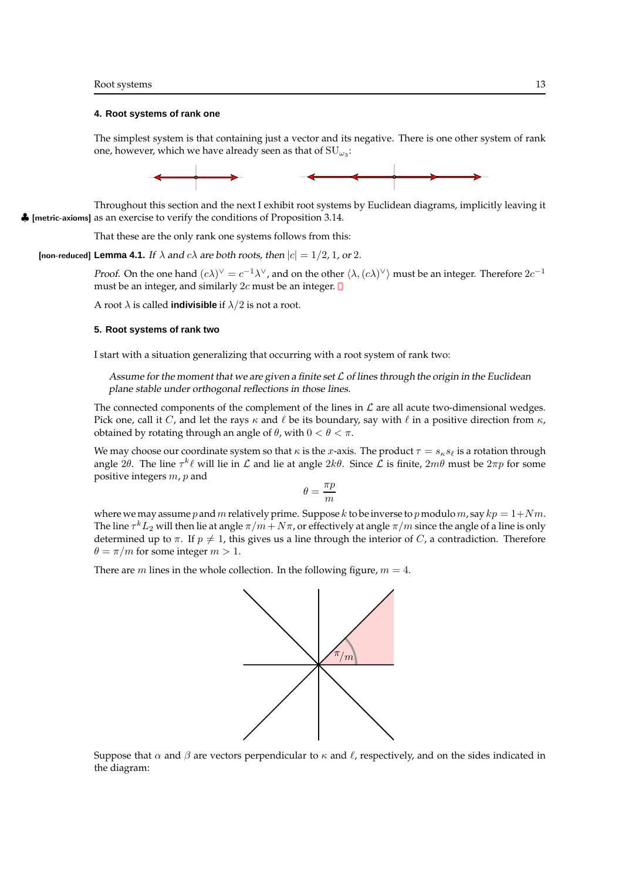#### **4. Root systems of rank one**

The simplest system is that containing just a vector and its negative. There is one other system of rank one, however, which we have already seen as that of  $\mathrm{SU}_{\omega_3}\text{:}$ 



Throughout this section and the next I exhibit root systems by Euclidean diagrams, implicitly leaving it ♣ [metric-axioms] as an exercise to verify the conditions of Proposition 3.14.

That these are the only rank one systems follows from this:

[non-reduced] **Lemma 4.1.** If  $\lambda$  and  $c\lambda$  are both roots, then  $|c| = 1/2$ , 1, or 2.

*Proof.* On the one hand  $(c\lambda)^\vee = c^{-1}\lambda^\vee$ , and on the other  $\langle \lambda, (c\lambda)^\vee \rangle$  must be an integer. Therefore  $2c^{-1}$ must be an integer, and similarly  $2c$  must be an integer.  $\blacksquare$ 

A root  $\lambda$  is called **indivisible** if  $\lambda/2$  is not a root.

### **5. Root systems of rank two**

I start with a situation generalizing that occurring with a root system of rank two:

Assume for the moment that we are given a finite set  $\mathcal L$  of lines through the origin in the Euclidean plane stable under orthogonal reflections in those lines.

The connected components of the complement of the lines in  $\mathcal L$  are all acute two-dimensional wedges. Pick one, call it C, and let the rays  $\kappa$  and  $\ell$  be its boundary, say with  $\ell$  in a positive direction from  $\kappa$ , obtained by rotating through an angle of  $\theta$ , with  $0 < \theta < \pi$ .

We may choose our coordinate system so that  $\kappa$  is the x-axis. The product  $\tau = s_{\kappa} s_{\ell}$  is a rotation through angle 2 $\theta$ . The line  $\tau^k \ell$  will lie in  $\mathcal L$  and lie at angle  $2k\theta$ . Since  $\mathcal L$  is finite,  $2m\theta$  must be  $2\pi p$  for some positive integers m, p and

$$
\theta = \frac{\pi p}{m}
$$

where we may assume p and m relatively prime. Suppose k to be inverse to p modulo m, say  $kp = 1 + Nm$ . The line  $\tau^k L_2$  will then lie at angle  $\pi/m+ N \pi$ , or effectively at angle  $\pi/m$  since the angle of a line is only determined up to  $\pi$ . If  $p \neq 1$ , this gives us a line through the interior of C, a contradiction. Therefore  $\theta = \pi/m$  for some integer  $m > 1$ .

There are *m* lines in the whole collection. In the following figure,  $m = 4$ .



Suppose that  $\alpha$  and  $\beta$  are vectors perpendicular to  $\kappa$  and  $\ell$ , respectively, and on the sides indicated in the diagram: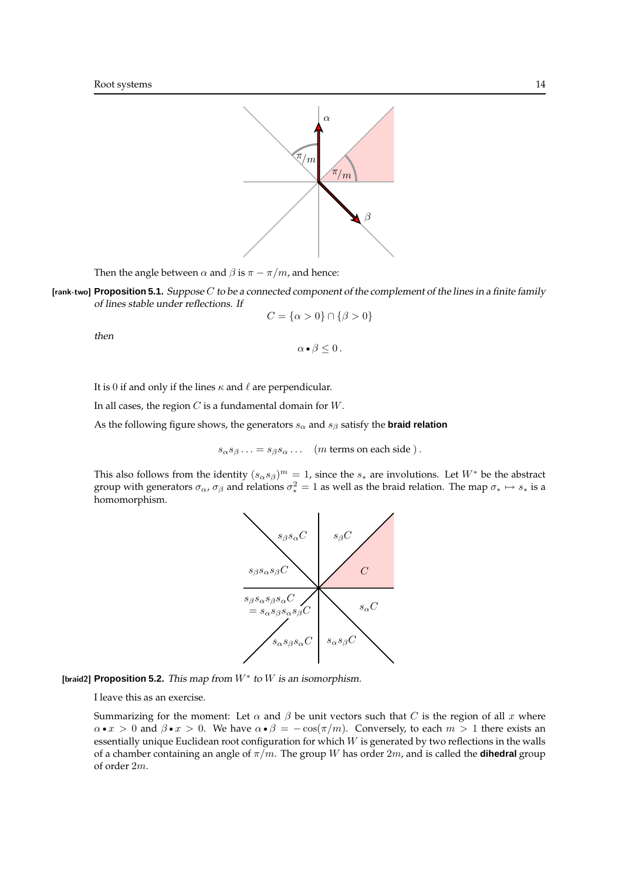

Then the angle between  $\alpha$  and  $\beta$  is  $\pi - \pi/m$ , and hence:

[rank-two] **Proposition 5.1.** Suppose C to be <sup>a</sup> connected component of the complement of the lines in <sup>a</sup> finite family of lines stable under reflections. If

$$
C=\{\alpha>0\}\cap\{\beta>0\}
$$

then

 $\alpha \bullet \beta \leq 0$ .

It is 0 if and only if the lines  $\kappa$  and  $\ell$  are perpendicular.

In all cases, the region  $C$  is a fundamental domain for  $W$ .

As the following figure shows, the generators  $s_\alpha$  and  $s_\beta$  satisfy the **braid relation** 

 $s_{\alpha}s_{\beta} \dots = s_{\beta}s_{\alpha} \dots$  (*m* terms on each side).

This also follows from the identity  $(s_{\alpha}s_{\beta})^m = 1$ , since the  $s_*$  are involutions. Let  $W^*$  be the abstract group with generators  $\sigma_\alpha$ ,  $\sigma_\beta$  and relations  $\sigma_*^2=1$  as well as the braid relation. The map  $\sigma_*\mapsto s_*$  is a homomorphism.



[braid2] **Proposition 5.2.** This map from  $W^*$  to W is an isomorphism.

I leave this as an exercise.

Summarizing for the moment: Let  $\alpha$  and  $\beta$  be unit vectors such that C is the region of all x where  $\alpha \cdot x > 0$  and  $\beta \cdot x > 0$ . We have  $\alpha \cdot \beta = -\cos(\pi/m)$ . Conversely, to each  $m > 1$  there exists an essentially unique Euclidean root configuration for which  $W$  is generated by two reflections in the walls of a chamber containing an angle of  $\pi/m$ . The group W has order  $2m$ , and is called the **dihedral** group of order 2m.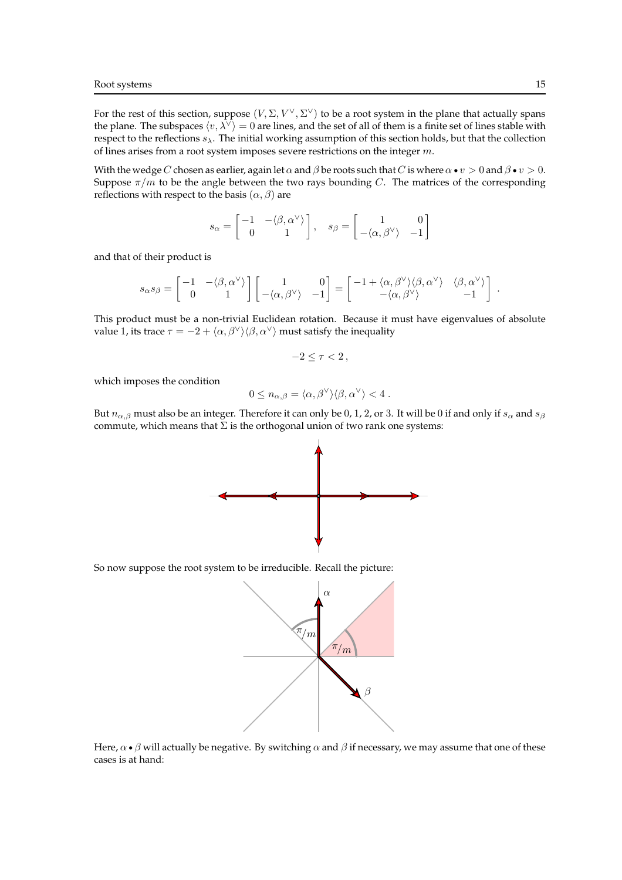For the rest of this section, suppose  $(V, \Sigma, V^{\vee}, \Sigma^{\vee})$  to be a root system in the plane that actually spans the plane. The subspaces  $\langle v, \lambda^{\vee} \rangle = 0$  are lines, and the set of all of them is a finite set of lines stable with respect to the reflections  $s_{\lambda}$ . The initial working assumption of this section holds, but that the collection of lines arises from a root system imposes severe restrictions on the integer m.

With the wedge C chosen as earlier, again let  $\alpha$  and  $\beta$  be roots such that C is where  $\alpha \bullet v > 0$  and  $\beta \bullet v > 0$ . Suppose  $\pi/m$  to be the angle between the two rays bounding C. The matrices of the corresponding reflections with respect to the basis  $(\alpha, \beta)$  are

$$
s_{\alpha} = \begin{bmatrix} -1 & -\langle \beta, \alpha^{\vee} \rangle \\ 0 & 1 \end{bmatrix}, \quad s_{\beta} = \begin{bmatrix} 1 & 0 \\ -\langle \alpha, \beta^{\vee} \rangle & -1 \end{bmatrix}
$$

and that of their product is

$$
s_\alpha s_\beta = \begin{bmatrix} -1 & -\langle \beta, \alpha^\vee \rangle \\ 0 & 1 \end{bmatrix} \begin{bmatrix} 1 & 0 \\ -\langle \alpha, \beta^\vee \rangle & -1 \end{bmatrix} = \begin{bmatrix} -1 + \langle \alpha, \beta^\vee \rangle \langle \beta, \alpha^\vee \rangle & \langle \beta, \alpha^\vee \rangle \\ -\langle \alpha, \beta^\vee \rangle & -1 \end{bmatrix} \,.
$$

This product must be a non-trivial Euclidean rotation. Because it must have eigenvalues of absolute value 1, its trace  $\tau = -2 + \langle \alpha, \beta^{\vee} \rangle \langle \beta, \alpha^{\vee} \rangle$  must satisfy the inequality

$$
-2\leq \tau <2\,,
$$

which imposes the condition

$$
0 \leq n_{\alpha,\beta} = \langle \alpha, \beta^\vee \rangle \langle \beta, \alpha^\vee \rangle < 4.
$$

But  $n_{\alpha,\beta}$  must also be an integer. Therefore it can only be 0, 1, 2, or 3. It will be 0 if and only if  $s_\alpha$  and  $s_\beta$ commute, which means that  $\Sigma$  is the orthogonal union of two rank one systems:



So now suppose the root system to be irreducible. Recall the picture:



Here,  $\alpha \bullet \beta$  will actually be negative. By switching  $\alpha$  and  $\beta$  if necessary, we may assume that one of these cases is at hand: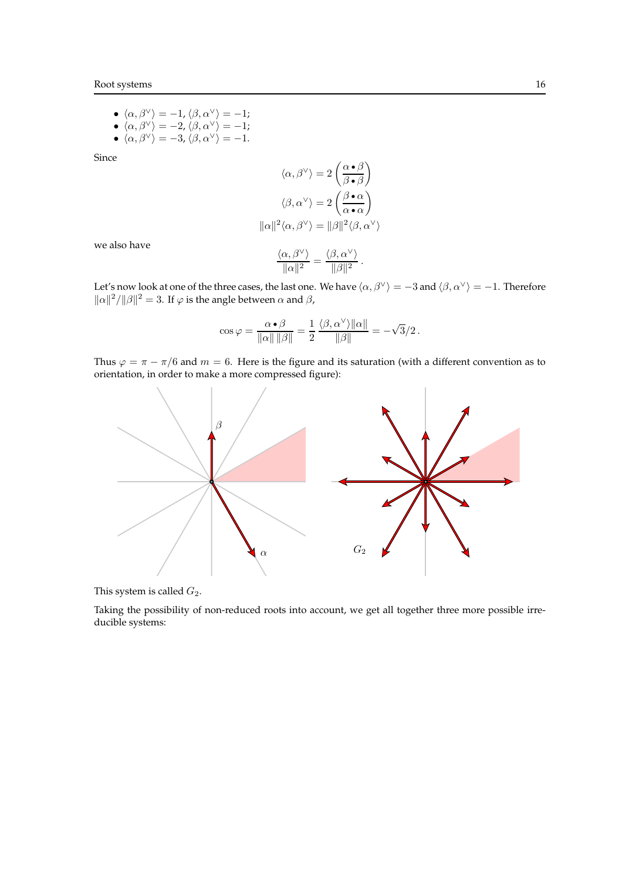- $\langle \alpha, \beta^{\vee} \rangle = -1, \langle \beta, \alpha^{\vee} \rangle = -1;$
- $\langle \alpha, \beta^{\vee} \rangle = -2$ ,  $\langle \beta, \alpha^{\vee} \rangle = -1;$
- $\langle \alpha, \beta^{\vee} \rangle = -3, \langle \beta, \alpha^{\vee} \rangle = -1.$

Since

$$
\langle \alpha, \beta^{\vee} \rangle = 2 \left( \frac{\alpha \cdot \beta}{\beta \cdot \beta} \right)
$$

$$
\langle \beta, \alpha^{\vee} \rangle = 2 \left( \frac{\beta \cdot \alpha}{\alpha \cdot \alpha} \right)
$$

$$
\|\alpha\|^2 \langle \alpha, \beta^{\vee} \rangle = \|\beta\|^2 \langle \beta, \alpha^{\vee} \rangle
$$

we also have

$$
\frac{\langle \alpha, \beta^{\vee} \rangle}{\|\alpha\|^2} = \frac{\langle \beta, \alpha^{\vee} \rangle}{\|\beta\|^2}
$$

.

Let's now look at one of the three cases, the last one. We have  $\langle \alpha, \beta^{\vee} \rangle = -3$  and  $\langle \beta, \alpha^{\vee} \rangle = -1$ . Therefore  $\|\alpha\|^2/\|\beta\|^2 = 3$ . If  $\varphi$  is the angle between  $\alpha$  and  $\beta$ ,

$$
\cos \varphi = \frac{\alpha \cdot \beta}{\|\alpha\| \|\beta\|} = \frac{1}{2} \frac{\langle \beta, \alpha^{\vee} \rangle \|\alpha\|}{\|\beta\|} = -\sqrt{3}/2.
$$

Thus  $\varphi = \pi - \pi/6$  and  $m = 6$ . Here is the figure and its saturation (with a different convention as to orientation, in order to make a more compressed figure):



This system is called  $G_2$ .

Taking the possibility of non-reduced roots into account, we get all together three more possible irreducible systems: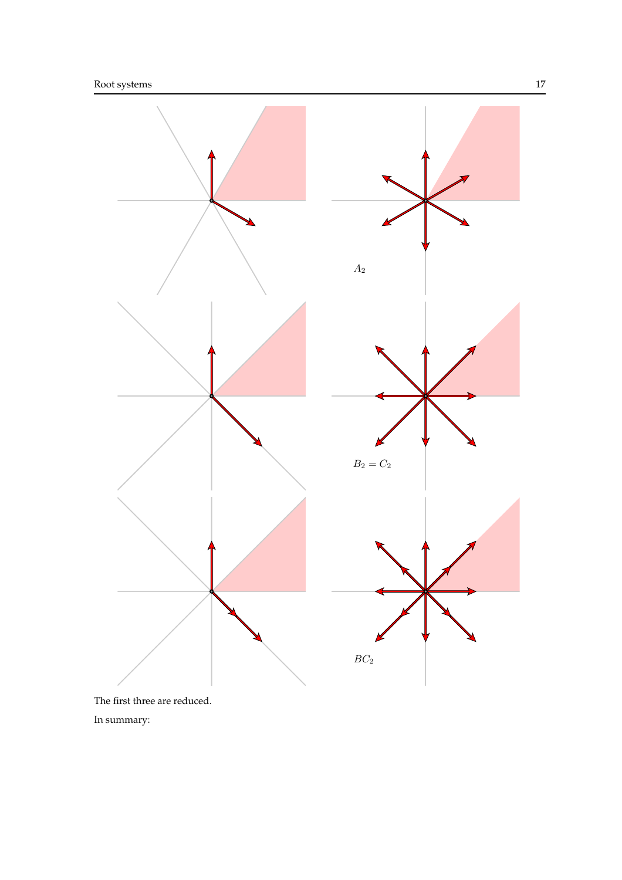

In summary: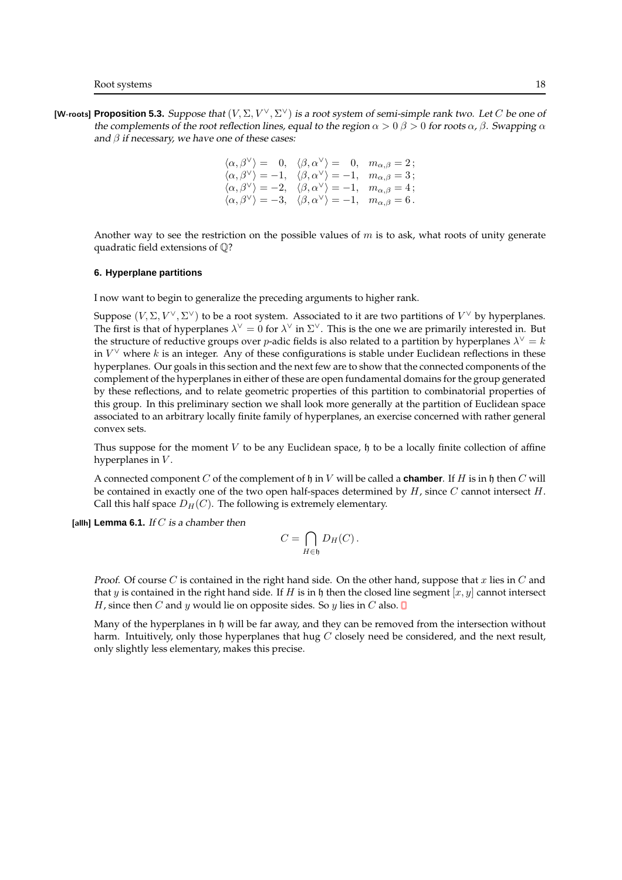[W-roots] Proposition 5.3. Suppose that  $(V, \Sigma, V^{\vee}, \Sigma^{\vee})$  is a root system of semi-simple rank two. Let C be one of the complements of the root reflection lines, equal to the region  $\alpha > 0$   $\beta > 0$  for roots  $\alpha$ ,  $\beta$ . Swapping  $\alpha$ and  $\beta$  if necessary, we have one of these cases:

> $\langle \alpha, \beta^{\vee} \rangle = 0, \quad \langle \beta, \alpha^{\vee} \rangle = 0, \quad m_{\alpha,\beta} = 2$ ;  $\langle \alpha, \beta^\vee \rangle = -1, \quad \langle \beta, \alpha^\vee \rangle = -1, \quad m_{\alpha,\beta} = 3$ ;  $\langle \alpha, \beta^{\vee} \rangle = -2, \quad \langle \beta, \alpha^{\vee} \rangle = -1, \quad m_{\alpha,\beta} = 4$ ;  $\langle \alpha, \beta^{\vee} \rangle = -3, \quad \langle \beta, \alpha^{\vee} \rangle = -1, \quad m_{\alpha,\beta} = 6$ .

Another way to see the restriction on the possible values of  $m$  is to ask, what roots of unity generate quadratic field extensions of Q?

### **6. Hyperplane partitions**

I now want to begin to generalize the preceding arguments to higher rank.

Suppose  $(V, \Sigma, V^{\vee}, \Sigma^{\vee})$  to be a root system. Associated to it are two partitions of  $V^{\vee}$  by hyperplanes. The first is that of hyperplanes  $\lambda^{\vee} = 0$  for  $\lambda^{\vee}$  in  $\Sigma^{\vee}$ . This is the one we are primarily interested in. But the structure of reductive groups over p-adic fields is also related to a partition by hyperplanes  $\lambda^{\vee} = k$ in  $V^{\vee}$  where k is an integer. Any of these configurations is stable under Euclidean reflections in these hyperplanes. Our goals in this section and the next few are to show that the connected components of the complement of the hyperplanes in either of these are open fundamental domains for the group generated by these reflections, and to relate geometric properties of this partition to combinatorial properties of this group. In this preliminary section we shall look more generally at the partition of Euclidean space associated to an arbitrary locally finite family of hyperplanes, an exercise concerned with rather general convex sets.

Thus suppose for the moment V to be any Euclidean space,  $\mathfrak h$  to be a locally finite collection of affine hyperplanes in  $V$ .

A connected component C of the complement of h in V will be called a **chamber**. If H is in h then C will be contained in exactly one of the two open half-spaces determined by  $H$ , since  $C$  cannot intersect  $H$ . Call this half space  $D_H(C)$ . The following is extremely elementary.

[allh] **Lemma 6.1.** If C is a chamber then

$$
C = \bigcap_{H \in \mathfrak{h}} D_H(C) \, .
$$

*Proof.* Of course C is contained in the right hand side. On the other hand, suppose that x lies in C and that y is contained in the right hand side. If H is in h then the closed line segment  $[x, y]$  cannot intersect *H*, since then *C* and *y* would lie on opposite sides. So *y* lies in *C* also.  $\Box$ 

Many of the hyperplanes in h will be far away, and they can be removed from the intersection without harm. Intuitively, only those hyperplanes that hug  $C$  closely need be considered, and the next result, only slightly less elementary, makes this precise.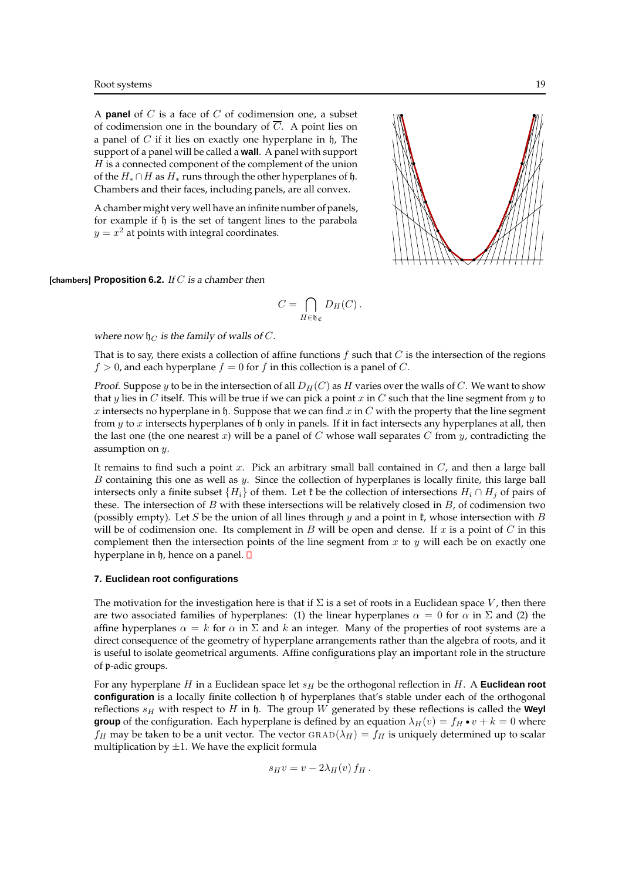A **panel** of C is a face of C of codimension one, a subset of codimension one in the boundary of  $\overline{C}$ . A point lies on a panel of  $C$  if it lies on exactly one hyperplane in  $\mathfrak h$ , The support of a panel will be called a **wall**. A panel with support  $H$  is a connected component of the complement of the union of the  $H_* \cap H$  as  $H_*$  runs through the other hyperplanes of  $\mathfrak h$ . Chambers and their faces, including panels, are all convex.

A chamber might very well have an infinite number of panels, for example if h is the set of tangent lines to the parabola  $y = x^2$  at points with integral coordinates.



[chambers] **Proposition 6.2.** If C is <sup>a</sup> chamber then

$$
C=\bigcap_{H\in\mathfrak{h}_{\mathfrak{C}}}D_H(C)\,.
$$

where now  $\not\!\mid_C$  is the family of walls of C.

That is to say, there exists a collection of affine functions  $f$  such that  $C$  is the intersection of the regions  $f > 0$ , and each hyperplane  $f = 0$  for f in this collection is a panel of C.

*Proof.* Suppose y to be in the intersection of all  $D_H(C)$  as H varies over the walls of C. We want to show that y lies in C itself. This will be true if we can pick a point x in C such that the line segment from y to  $x$  intersects no hyperplane in  $\mathfrak h$ . Suppose that we can find  $x$  in  $C$  with the property that the line segment from  $y$  to  $x$  intersects hyperplanes of  $\mathfrak h$  only in panels. If it in fact intersects any hyperplanes at all, then the last one (the one nearest x) will be a panel of C whose wall separates C from y, contradicting the assumption on y.

It remains to find such a point  $x$ . Pick an arbitrary small ball contained in  $C$ , and then a large ball B containing this one as well as y. Since the collection of hyperplanes is locally finite, this large ball intersects only a finite subset  $\{H_i\}$  of them. Let  $\mathfrak k$  be the collection of intersections  $H_i \cap H_j$  of pairs of these. The intersection of  $B$  with these intersections will be relatively closed in  $B$ , of codimension two (possibly empty). Let S be the union of all lines through y and a point in  $\mathfrak k$ , whose intersection with B will be of codimension one. Its complement in B will be open and dense. If  $x$  is a point of  $C$  in this complement then the intersection points of the line segment from  $x$  to  $y$  will each be on exactly one hyperplane in  $\mathfrak h$ , hence on a panel.  $\mathbf 0$ 

#### **7. Euclidean root configurations**

The motivation for the investigation here is that if  $\Sigma$  is a set of roots in a Euclidean space V, then there are two associated families of hyperplanes: (1) the linear hyperplanes  $\alpha = 0$  for  $\alpha$  in  $\Sigma$  and (2) the affine hyperplanes  $\alpha = k$  for  $\alpha$  in  $\Sigma$  and  $k$  an integer. Many of the properties of root systems are a direct consequence of the geometry of hyperplane arrangements rather than the algebra of roots, and it is useful to isolate geometrical arguments. Affine configurations play an important role in the structure of p-adic groups.

For any hyperplane  $H$  in a Euclidean space let  $s_H$  be the orthogonal reflection in  $H$ . A **Euclidean root configuration** is a locally finite collection h of hyperplanes that's stable under each of the orthogonal reflections  $s_H$  with respect to H in h. The group W generated by these reflections is called the **Weyl group** of the configuration. Each hyperplane is defined by an equation  $\lambda_H(v) = f_H \cdot v + k = 0$  where  $f_H$  may be taken to be a unit vector. The vector GRAD( $\lambda_H$ ) =  $f_H$  is uniquely determined up to scalar multiplication by  $\pm 1$ . We have the explicit formula

$$
s_H v = v - 2\lambda_H(v) f_H.
$$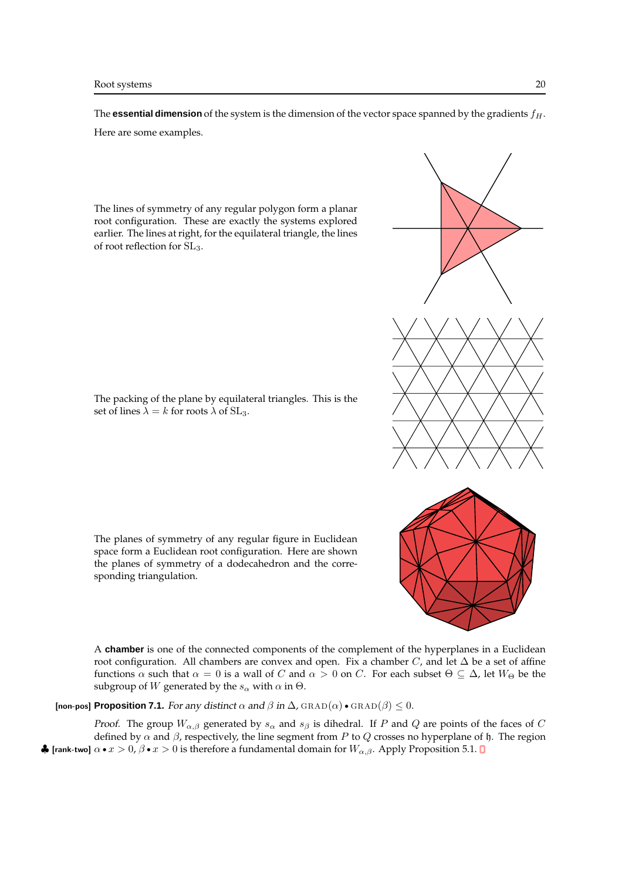The **essential dimension** of the system is the dimension of the vector space spanned by the gradients  $f_H$ . Here are some examples.

The lines of symmetry of any regular polygon form a planar root configuration. These are exactly the systems explored earlier. The lines at right, for the equilateral triangle, the lines of root reflection for SL3.

The packing of the plane by equilateral triangles. This is the set of lines  $\lambda = k$  for roots  $\lambda$  of SL<sub>3</sub>.

The planes of symmetry of any regular figure in Euclidean space form a Euclidean root configuration. Here are shown the planes of symmetry of a dodecahedron and the corresponding triangulation.

A **chamber** is one of the connected components of the complement of the hyperplanes in a Euclidean root configuration. All chambers are convex and open. Fix a chamber  $C$ , and let  $\Delta$  be a set of affine functions  $\alpha$  such that  $\alpha = 0$  is a wall of C and  $\alpha > 0$  on C. For each subset  $\Theta \subseteq \Delta$ , let  $W_{\Theta}$  be the subgroup of W generated by the  $s_\alpha$  with  $\alpha$  in  $\Theta$ .

[non-pos] **Proposition 7.1.** For any distinct  $\alpha$  and  $\beta$  in  $\Delta$ , GRAD( $\alpha$ ) • GRAD( $\beta$ ) < 0.

*Proof.* The group  $W_{\alpha,\beta}$  generated by  $s_{\alpha}$  and  $s_{\beta}$  is dihedral. If P and Q are points of the faces of C defined by  $\alpha$  and  $\beta$ , respectively, the line segment from P to Q crosses no hyperplane of h. The region  $\bullet$  [rank-two]  $\alpha \bullet x > 0$ ,  $\beta \bullet x > 0$  is therefore a fundamental domain for  $W_{\alpha,\beta}$ . Apply Proposition 5.1 **0** 

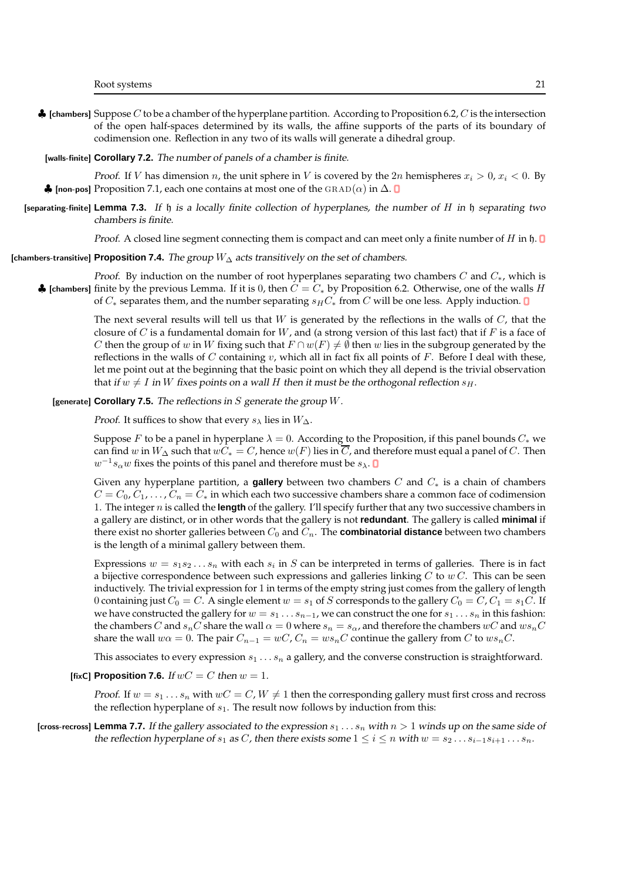$\clubsuit$  [chambers] Suppose C to be a chamber of the hyperplane partition. According to Proposition 6.2, C is the intersection of the open half-spaces determined by its walls, the affine supports of the parts of its boundary of codimension one. Reflection in any two of its walls will generate a dihedral group.

#### [walls-finite] **Corollary 7.2.** The number of panels of a chamber is finite.

*Proof.* If V has dimension n, the unit sphere in V is covered by the  $2n$  hemispheres  $x_i > 0$ ,  $x_i < 0$ . By  $\clubsuit$  [non-pos] Proposition 7.1, each one contains at most one of the GRAD(α) in  $\Delta$ . **D** 

[separating-finite] **Lemma 7.3.** If h is <sup>a</sup> locally finite collection of hyperplanes, the number of H in h separating two chambers is finite.

*Proof.* A closed line segment connecting them is compact and can meet only a finite number of H in h.  $\Box$ 

[chambers-transitive] **Proposition 7.4.** The group W<sup>∆</sup> acts transitively on the set of chambers.

*Proof.* By induction on the number of root hyperplanes separating two chambers C and  $C_*$ , which is ♦ [chambers] finite by the previous Lemma. If it is 0, then  $C = C_*$  by Proposition 6.2. Otherwise, one of the walls H of  $C_*$  separates them, and the number separating  $s_H C_*$  from C will be one less. Apply induction. **D** 

> The next several results will tell us that W is generated by the reflections in the walls of  $C$ , that the closure of C is a fundamental domain for  $W$ , and (a strong version of this last fact) that if  $F$  is a face of C then the group of w in W fixing such that  $F \cap w(F) \neq \emptyset$  then w lies in the subgroup generated by the reflections in the walls of  $C$  containing  $v$ , which all in fact fix all points of  $F$ . Before I deal with these, let me point out at the beginning that the basic point on which they all depend is the trivial observation that if  $w \neq I$  in W fixes points on a wall H then it must be the orthogonal reflection  $s_H$ .

# [generate] **Corollary 7.5.** The reflections in S generate the group W.

*Proof.* It suffices to show that every  $s_\lambda$  lies in  $W_\Delta$ .

Suppose F to be a panel in hyperplane  $\lambda = 0$ . According to the Proposition, if this panel bounds  $C_*$  we can find w in  $W_{\Delta}$  such that  $wC_* = C$ , hence  $w(F)$  lies in  $\overline{C}$ , and therefore must equal a panel of C. Then  $w^{-1}s_\alpha w$  fixes the points of this panel and therefore must be  $s_\lambda$ .

Given any hyperplane partition, a **gallery** between two chambers C and C<sup>∗</sup> is a chain of chambers  $C = C_0, C_1, \ldots, C_n = C_*$  in which each two successive chambers share a common face of codimension 1. The integer n is called the **length** of the gallery. I'll specify further that any two successive chambers in a gallery are distinct, or in other words that the gallery is not **redundant**. The gallery is called **minimal** if there exist no shorter galleries between  $C_0$  and  $C_n$ . The **combinatorial distance** between two chambers is the length of a minimal gallery between them.

Expressions  $w = s_1 s_2 \dots s_n$  with each  $s_i$  in  $S$  can be interpreted in terms of galleries. There is in fact a bijective correspondence between such expressions and galleries linking  $C$  to  $w C$ . This can be seen inductively. The trivial expression for 1 in terms of the empty string just comes from the gallery of length 0 containing just  $C_0 = C$ . A single element  $w = s_1$  of S corresponds to the gallery  $C_0 = C$ ,  $C_1 = s_1 C$ . If we have constructed the gallery for  $w = s_1 \ldots s_{n-1}$ , we can construct the one for  $s_1 \ldots s_n$  in this fashion: the chambers C and  $s_nC$  share the wall  $\alpha = 0$  where  $s_n = s_\alpha$ , and therefore the chambers  $wC$  and  $ws_nC$ share the wall  $w\alpha = 0$ . The pair  $C_{n-1} = wC$ ,  $C_n = ws_nC$  continue the gallery from C to  $ws_nC$ .

This associates to every expression  $s_1 \ldots s_n$  a gallery, and the converse construction is straightforward.

[fixC] **Proposition 7.6.** If  $wC = C$  then  $w = 1$ .

*Proof.* If  $w = s_1 \dots s_n$  with  $wC = C$ ,  $W \neq 1$  then the corresponding gallery must first cross and recross the reflection hyperplane of  $s_1$ . The result now follows by induction from this:

[cross-recross] **Lemma 7.7.** If the gallery associated to the expression  $s_1 \ldots s_n$  with  $n > 1$  winds up on the same side of the reflection hyperplane of  $s_1$  as C, then there exists some  $1 \le i \le n$  with  $w = s_2 \dots s_{i-1} s_{i+1} \dots s_n$ .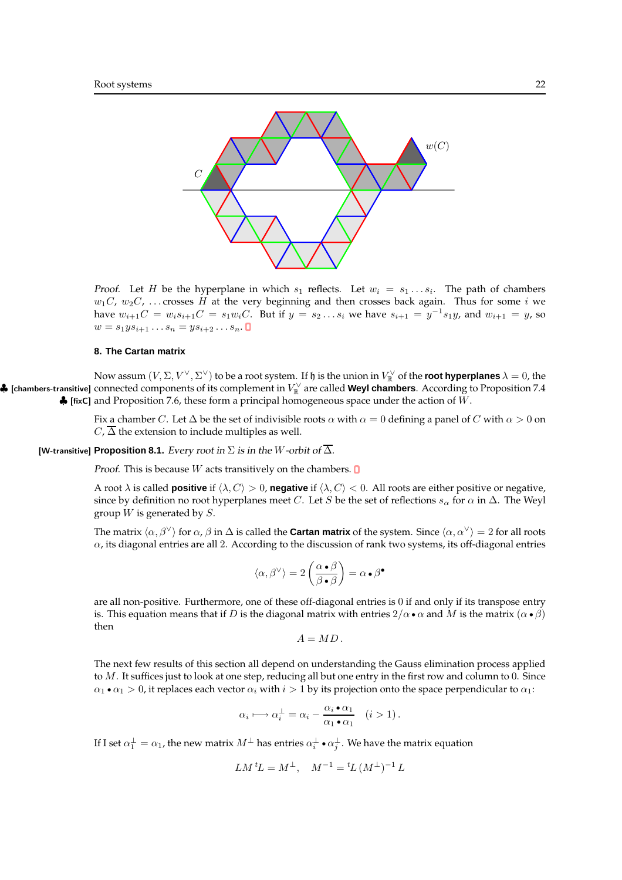

*Proof.* Let H be the hyperplane in which  $s_1$  reflects. Let  $w_i = s_1 \dots s_i$ . The path of chambers  $w_1C$ ,  $w_2C$ , ... crosses H at the very beginning and then crosses back again. Thus for some i we have  $w_{i+1}C = w_i s_{i+1} C = s_1 w_i C$ . But if  $y = s_2 ... s_i$  we have  $s_{i+1} = y^{-1} s_1 y$ , and  $w_{i+1} = y$ , so  $w = s_1 y s_{i+1} \dots s_n = y s_{i+2} \dots s_n$ .

# **8. The Cartan matrix**

Now assum  $(V,\Sigma,V^\vee,\Sigma^\vee)$  to be a root system. If  $\frak h$  is the union in  $V^\vee_\mathbb{R}$  of the **root hyperplanes**  $\lambda=0$ , the  $\clubsuit$  [chambers-transitive] connected components of its complement in  $V^\vee_\mathbb{R}$  are called **Weyl chambers**. According to Proposition 7.4  $\clubsuit$  [fixC] and Proposition 7.6, these form a principal homogeneous space under the action of W.

> Fix a chamber C. Let  $\Delta$  be the set of indivisible roots  $\alpha$  with  $\alpha = 0$  defining a panel of C with  $\alpha > 0$  on  $C, \overline{\Delta}$  the extension to include multiples as well.

[W-transitive] **Proposition 8.1.** Every root in  $\Sigma$  is in the W-orbit of  $\overline{\Delta}$ .

*Proof.* This is because  $W$  acts transitively on the chambers.  $\Box$ 

A root  $\lambda$  is called **positive** if  $\langle \lambda, C \rangle > 0$ , **negative** if  $\langle \lambda, C \rangle < 0$ . All roots are either positive or negative, since by definition no root hyperplanes meet C. Let S be the set of reflections  $s_\alpha$  for  $\alpha$  in  $\Delta$ . The Weyl group  $W$  is generated by  $S$ .

The matrix  $\langle \alpha, \beta^{\vee} \rangle$  for  $\alpha$ ,  $\beta$  in  $\Delta$  is called the **Cartan matrix** of the system. Since  $\langle \alpha, \alpha^{\vee} \rangle = 2$  for all roots  $\alpha$ , its diagonal entries are all 2. According to the discussion of rank two systems, its off-diagonal entries

$$
\langle \alpha, \beta^{\vee} \rangle = 2 \left( \frac{\alpha \bullet \beta}{\beta \bullet \beta} \right) = \alpha \bullet \beta^{\bullet}
$$

are all non-positive. Furthermore, one of these off-diagonal entries is 0 if and only if its transpose entry is. This equation means that if D is the diagonal matrix with entries  $2/\alpha \bullet \alpha$  and M is the matrix  $(\alpha \bullet \beta)$ then

$$
A=MD.
$$

The next few results of this section all depend on understanding the Gauss elimination process applied to M. It suffices just to look at one step, reducing all but one entry in the first row and column to 0. Since  $\alpha_1 \cdot \alpha_1 > 0$ , it replaces each vector  $\alpha_i$  with  $i > 1$  by its projection onto the space perpendicular to  $\alpha_1$ :

$$
\alpha_i \longmapsto \alpha_i^{\perp} = \alpha_i - \frac{\alpha_i \cdot \alpha_1}{\alpha_1 \cdot \alpha_1} \quad (i > 1).
$$

If I set  $\alpha_1^\perp=\alpha_1$ , the new matrix  $M^\perp$  has entries  $\alpha_i^\perp\bullet\alpha_j^\perp.$  We have the matrix equation

$$
LM \,{}^tL = M^\perp, \quad M^{-1} = {}^tL \, (M^\perp)^{-1} \, L
$$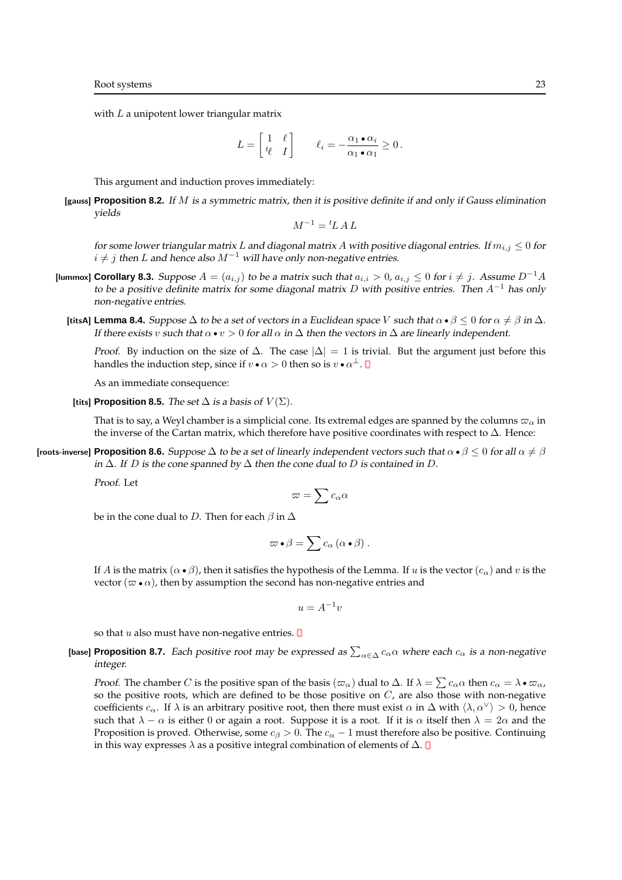with  $L$  a unipotent lower triangular matrix

$$
L = \begin{bmatrix} 1 & \ell \\ t_{\ell} & I \end{bmatrix} \qquad \ell_i = -\frac{\alpha_1 \cdot \alpha_i}{\alpha_1 \cdot \alpha_1} \ge 0 \, .
$$

This argument and induction proves immediately:

[gauss] **Proposition 8.2.** If M is <sup>a</sup> symmetric matrix, then it is positive definite if and only if Gauss elimination yields

$$
M^{-1} = {}^t L \, A \, L
$$

for some lower triangular matrix L and diagonal matrix A with positive diagonal entries. If  $m_{i,j} \leq 0$  for  $i \neq j$  then L and hence also  $M^{-1}$  will have only non-negative entries.

- [lummox] **Corollary 8.3.** Suppose  $A = (a_{i,j})$  to be a matrix such that  $a_{i,i} > 0$ ,  $a_{i,j} \leq 0$  for  $i \neq j$ . Assume  $D^{-1}A$ to be a positive definite matrix for some diagonal matrix D with positive entries. Then  $A^{-1}$  has only non-negative entries.
	- **[titsA] Lemma 8.4.** Suppose  $\Delta$  to be a set of vectors in a Euclidean space V such that  $\alpha \bullet \beta \leq 0$  for  $\alpha \neq \beta$  in  $\Delta$ . If there exists v such that  $\alpha \bullet v > 0$  for all  $\alpha$  in  $\Delta$  then the vectors in  $\Delta$  are linearly independent.

*Proof.* By induction on the size of  $\Delta$ . The case  $|\Delta| = 1$  is trivial. But the argument just before this handles the induction step, since if  $v \bullet \alpha > 0$  then so is  $v \bullet \alpha^\perp$ .

As an immediate consequence:

[tits] **Proposition 8.5.** The set  $\Delta$  is a basis of  $V(\Sigma)$ .

That is to say, a Weyl chamber is a simplicial cone. Its extremal edges are spanned by the columns  $\varpi_\alpha$  in the inverse of the Cartan matrix, which therefore have positive coordinates with respect to  $\Delta$ . Hence:

**[roots-inverse] Proposition 8.6.** Suppose  $\Delta$  to be a set of linearly independent vectors such that  $\alpha \bullet \beta \leq 0$  for all  $\alpha \neq \beta$ in  $\Delta$ . If D is the cone spanned by  $\Delta$  then the cone dual to D is contained in D.

Proof. Let

$$
\varpi=\sum c_\alpha\alpha
$$

be in the cone dual to D. Then for each  $\beta$  in  $\Delta$ 

$$
\varpi \bullet \beta = \sum c_{\alpha} (\alpha \bullet \beta) .
$$

If A is the matrix  $(\alpha \bullet \beta)$ , then it satisfies the hypothesis of the Lemma. If u is the vector  $(c_{\alpha})$  and v is the vector ( $\varpi \bullet \alpha$ ), then by assumption the second has non-negative entries and

 $u = A^{-1}v$ 

so that  $u$  also must have non-negative entries.  $\blacksquare$ 

[base] Proposition 8.7. Each positive root may be expressed as  $\sum_{\alpha\in\Delta}c_\alpha\alpha$  where each  $c_\alpha$  is a non-negative integer.

*Proof.* The chamber C is the positive span of the basis  $(\varpi_\alpha)$  dual to  $\Delta$ . If  $\lambda = \sum c_\alpha \alpha$  then  $c_\alpha = \lambda \bullet \varpi_\alpha$ , so the positive roots, which are defined to be those positive on  $C$ , are also those with non-negative coefficients  $c_{\alpha}$ . If  $\lambda$  is an arbitrary positive root, then there must exist  $\alpha$  in  $\Delta$  with  $\langle \lambda, \alpha^{\vee} \rangle > 0$ , hence such that  $\lambda - \alpha$  is either 0 or again a root. Suppose it is a root. If it is  $\alpha$  itself then  $\lambda = 2\alpha$  and the Proposition is proved. Otherwise, some  $c_{\beta} > 0$ . The  $c_{\alpha} - 1$  must therefore also be positive. Continuing in this way expresses  $\lambda$  as a positive integral combination of elements of  $\Delta$ .  $\square$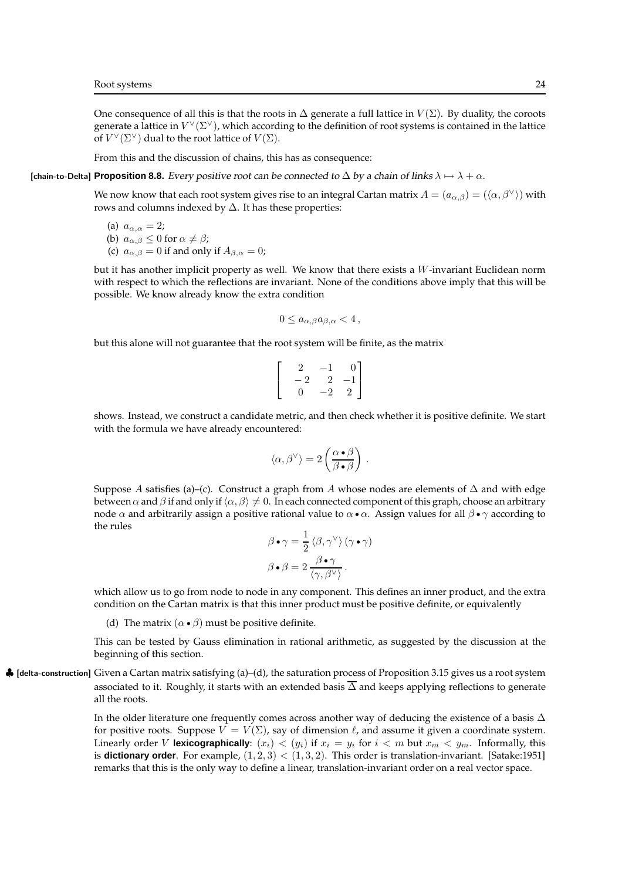One consequence of all this is that the roots in  $\Delta$  generate a full lattice in  $V(\Sigma)$ . By duality, the coroots generate a lattice in  $V^{\vee}(\Sigma^{\vee})$ , which according to the definition of root systems is contained in the lattice of  $V^{\vee}(\Sigma^{\vee})$  dual to the root lattice of  $V(\Sigma)$ .

From this and the discussion of chains, this has as consequence:

# [chain-to-Delta] **Proposition 8.8.** Every positive root can be connected to  $\Delta$  by a chain of links  $\lambda \mapsto \lambda + \alpha$ .

We now know that each root system gives rise to an integral Cartan matrix  $A = (a_{\alpha,\beta}) = (\langle \alpha, \beta^{\vee} \rangle)$  with rows and columns indexed by  $\Delta$ . It has these properties:

(a) 
$$
a_{\alpha,\alpha} = 2;
$$

(b) 
$$
a_{\alpha,\beta} \leq 0
$$
 for  $\alpha \neq \beta$ ;

(c)  $a_{\alpha,\beta} = 0$  if and only if  $A_{\beta,\alpha} = 0$ ;

but it has another implicit property as well. We know that there exists a  $W$ -invariant Euclidean norm with respect to which the reflections are invariant. None of the conditions above imply that this will be possible. We know already know the extra condition

$$
0\leq a_{\alpha,\beta}a_{\beta,\alpha}<4\,,
$$

but this alone will not guarantee that the root system will be finite, as the matrix

$$
\left[\begin{array}{rrr} 2 & -1 & 0 \\ -2 & 2 & -1 \\ 0 & -2 & 2 \end{array}\right]
$$

shows. Instead, we construct a candidate metric, and then check whether it is positive definite. We start with the formula we have already encountered:

$$
\langle \alpha, \beta^{\vee} \rangle = 2 \left( \frac{\alpha \bullet \beta}{\beta \bullet \beta} \right) .
$$

Suppose A satisfies (a)–(c). Construct a graph from A whose nodes are elements of  $\Delta$  and with edge between  $\alpha$  and  $\beta$  if and only if  $\langle \alpha, \beta \rangle \neq 0$ . In each connected component of this graph, choose an arbitrary node  $\alpha$  and arbitrarily assign a positive rational value to  $\alpha \cdot \alpha$ . Assign values for all  $\beta \cdot \gamma$  according to the rules

$$
\beta \bullet \gamma = \frac{1}{2} \langle \beta, \gamma^{\vee} \rangle (\gamma \bullet \gamma)
$$

$$
\beta \bullet \beta = 2 \frac{\beta \bullet \gamma}{\langle \gamma, \beta^{\vee} \rangle}.
$$

which allow us to go from node to node in any component. This defines an inner product, and the extra condition on the Cartan matrix is that this inner product must be positive definite, or equivalently

(d) The matrix  $(\alpha \bullet \beta)$  must be positive definite.

This can be tested by Gauss elimination in rational arithmetic, as suggested by the discussion at the beginning of this section.

 $\clubsuit$  [delta-construction] Given a Cartan matrix satisfying (a)–(d), the saturation process of Proposition 3.15 gives us a root system associated to it. Roughly, it starts with an extended basis  $\overline{\Delta}$  and keeps applying reflections to generate all the roots.

> In the older literature one frequently comes across another way of deducing the existence of a basis ∆ for positive roots. Suppose  $V = V(\Sigma)$ , say of dimension  $\ell$ , and assume it given a coordinate system. Linearly order V **lexicographically**:  $(x_i) < (y_i)$  if  $x_i = y_i$  for  $i < m$  but  $x_m < y_m$ . Informally, this is **dictionary order**. For example,  $(1, 2, 3) < (1, 3, 2)$ . This order is translation-invariant. [Satake:1951] remarks that this is the only way to define a linear, translation-invariant order on a real vector space.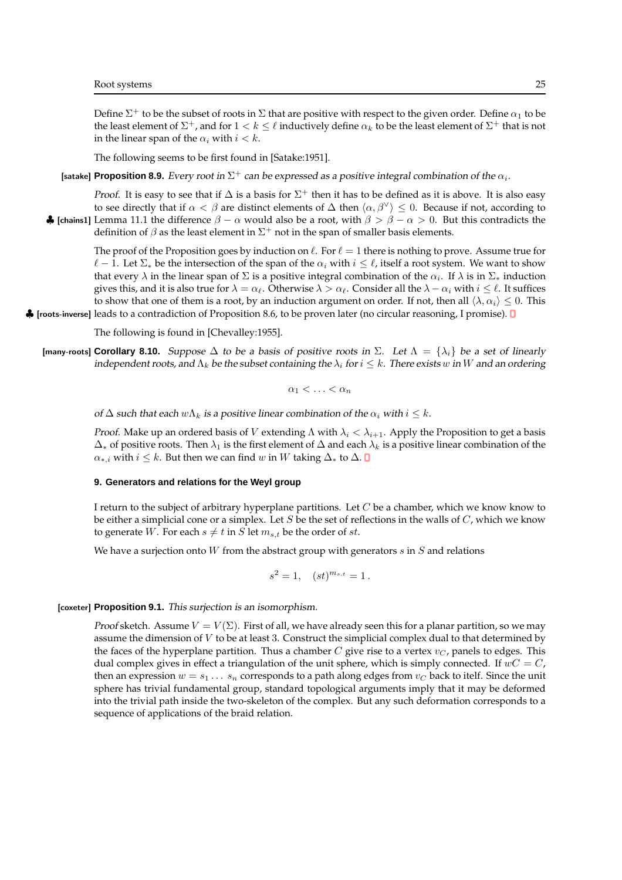Define  $\Sigma^+$  to be the subset of roots in  $\Sigma$  that are positive with respect to the given order. Define  $\alpha_1$  to be the least element of  $\Sigma^+$ , and for  $1 < k \leq \ell$  inductively define  $\alpha_k$  to be the least element of  $\Sigma^+$  that is not in the linear span of the  $\alpha_i$  with  $i < k$ .

The following seems to be first found in [Satake:1951].

[satake] P**roposition 8.9.** Every root in  $\Sigma^+$  can be expressed as a positive integral combination of the  $\alpha_i.$ 

*Proof.* It is easy to see that if  $\Delta$  is a basis for  $\Sigma^+$  then it has to be defined as it is above. It is also easy to see directly that if  $\alpha < \beta$  are distinct elements of  $\Delta$  then  $\langle \alpha, \beta^{\vee} \rangle \leq 0$ . Because if not, according to • [chains1] Lemma 11.1 the difference  $β − α$  would also be a root, with  $β > β − α > 0$ . But this contradicts the definition of  $\beta$  as the least element in  $\Sigma^+$  not in the span of smaller basis elements.

The proof of the Proposition goes by induction on  $\ell$ . For  $\ell = 1$  there is nothing to prove. Assume true for  $\ell-1$ . Let  $\Sigma_*$  be the intersection of the span of the  $\alpha_i$  with  $i \leq \ell$ , itself a root system. We want to show that every  $\lambda$  in the linear span of  $\Sigma$  is a positive integral combination of the  $\alpha_i$ . If  $\lambda$  is in  $\Sigma_*$  induction gives this, and it is also true for  $\lambda = \alpha_\ell$ . Otherwise  $\lambda > \alpha_\ell$ . Consider all the  $\lambda - \alpha_i$  with  $i \leq \ell$ . It suffices to show that one of them is a root, by an induction argument on order. If not, then all  $\langle \lambda, \alpha_i \rangle \leq 0$ . This

♣ [roots-inverse] leads to a contradiction of Proposition 8.6, to be proven later (no circular reasoning, I promise).

The following is found in [Chevalley:1955].

[many-roots] **Corollary 8.10.** Suppose  $\Delta$  to be a basis of positive roots in  $\Sigma$ . Let  $\Lambda = {\lambda_i}$  be a set of linearly independent roots, and  $\Lambda_k$  be the subset containing the  $\lambda_i$  for  $i \leq k$ . There exists w in W and an ordering

$$
\alpha_1 < \ldots < \alpha_n
$$

of  $\Delta$  such that each  $w\Lambda_k$  is a positive linear combination of the  $\alpha_i$  with  $i \leq k$ .

*Proof.* Make up an ordered basis of V extending  $\Lambda$  with  $\lambda_i < \lambda_{i+1}$ . Apply the Proposition to get a basis  $\Delta_∗$  of positive roots. Then  $\lambda_1$  is the first element of  $\Delta$  and each  $\lambda_k$  is a positive linear combination of the  $\alpha_{*,i}$  with  $i \leq k$ . But then we can find w in W taking  $\Delta_*$  to  $\Delta$ . **O** 

### **9. Generators and relations for the Weyl group**

I return to the subject of arbitrary hyperplane partitions. Let  $C$  be a chamber, which we know know to be either a simplicial cone or a simplex. Let  $S$  be the set of reflections in the walls of  $C$ , which we know to generate W. For each  $s \neq t$  in S let  $m_{s,t}$  be the order of st.

We have a surjection onto W from the abstract group with generators  $s$  in  $S$  and relations

$$
s^2 = 1, \quad (st)^{m_{s,t}} = 1 \, .
$$

# [coxeter] **Proposition 9.1.** This surjection is an isomorphism.

*Proof sketch.* Assume  $V = V(\Sigma)$ . First of all, we have already seen this for a planar partition, so we may assume the dimension of  $V$  to be at least 3. Construct the simplicial complex dual to that determined by the faces of the hyperplane partition. Thus a chamber  $C$  give rise to a vertex  $v_C$ , panels to edges. This dual complex gives in effect a triangulation of the unit sphere, which is simply connected. If  $wC = C$ , then an expression  $w = s_1 \dots s_n$  corresponds to a path along edges from  $v_C$  back to itelf. Since the unit sphere has trivial fundamental group, standard topological arguments imply that it may be deformed into the trivial path inside the two-skeleton of the complex. But any such deformation corresponds to a sequence of applications of the braid relation.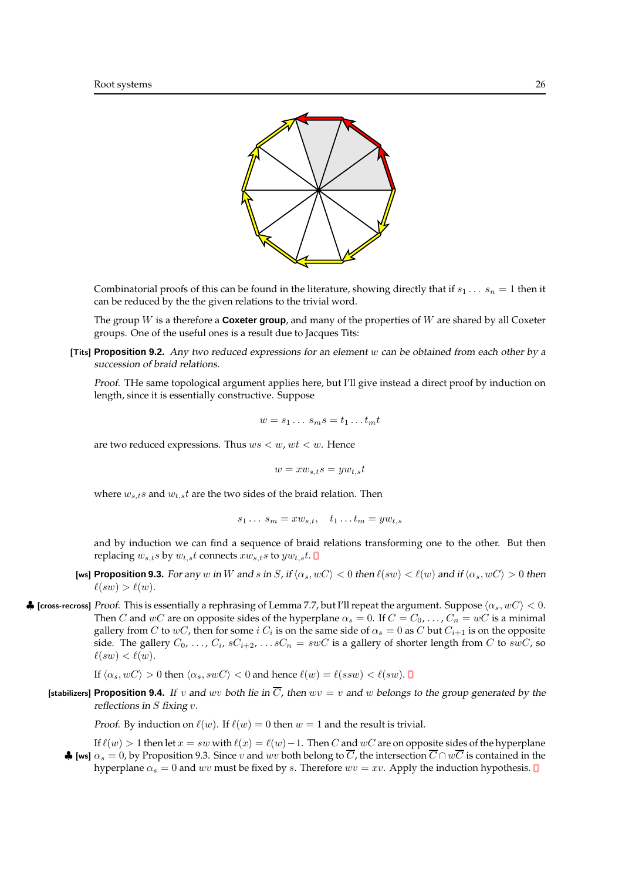

Combinatorial proofs of this can be found in the literature, showing directly that if  $s_1 \ldots s_n = 1$  then it can be reduced by the the given relations to the trivial word.

The group W is a therefore a **Coxeter group**, and many of the properties of W are shared by all Coxeter groups. One of the useful ones is a result due to Jacques Tits:

[Tits] **Proposition 9.2.** Any two reduced expressions for an element w can be obtained from each other by <sup>a</sup> succession of braid relations.

Proof. THe same topological argument applies here, but I'll give instead a direct proof by induction on length, since it is essentially constructive. Suppose

$$
w = s_1 \dots s_m s = t_1 \dots t_m t
$$

are two reduced expressions. Thus  $ws < w$ ,  $wt < w$ . Hence

$$
w = xw_{s,t}s = yw_{t,s}t
$$

where  $w_{s,t}$ s and  $w_{t,s}$ t are the two sides of the braid relation. Then

$$
s_1 \ldots s_m = x w_{s,t}, \quad t_1 \ldots t_m = y w_{t,s}
$$

and by induction we can find a sequence of braid relations transforming one to the other. But then replacing  $w_{s,t} s$  by  $w_{t,s} t$  connects  $x w_{s,t} s$  to  $y w_{t,s} t$ .

- [ws] **Proposition 9.3.** For any w in W and s in S, if  $\langle \alpha_s, w \rangle \langle 0 \rangle \langle 0 \rangle$  then  $\ell(sw) \langle 0 \rangle \langle 0 \rangle$  and if  $\langle \alpha_s, w \rangle > 0$  then  $\ell(sw) > \ell(w)$ .
- ♦ [cross-recross] Proof. This is essentially a rephrasing of Lemma 7.7, but I'll repeat the argument. Suppose  $\langle \alpha_s, wC \rangle$  < 0. Then C and wC are on opposite sides of the hyperplane  $\alpha_s = 0$ . If  $C = C_0, \ldots, C_n = wC$  is a minimal gallery from  $C$  to  $wC$ , then for some  $i$   $C_i$  is on the same side of  $\alpha_s=0$  as  $C$  but  $C_{i+1}$  is on the opposite side. The gallery  $C_0, \, \ldots, \, C_i, \, sC_{i+2}, \, \ldots sC_n\, =\, s wC$  is a gallery of shorter length from  $C$  to  $s w C$ , so  $\ell(sw) < \ell(w)$ .

If  $\langle \alpha_s, wC \rangle > 0$  then  $\langle \alpha_s, swC \rangle < 0$  and hence  $\ell(w) = \ell(ssw) < \ell(sw)$ .

**[stabilizers] Proposition 9.4.** If v and wv both lie in  $\overline{C}$ , then wv = v and w belongs to the group generated by the reflections in  $S$  fixing  $v$ .

*Proof.* By induction on  $\ell(w)$ . If  $\ell(w) = 0$  then  $w = 1$  and the result is trivial.

If  $\ell(w) > 1$  then let  $x = sw$  with  $\ell(x) = \ell(w) - 1$ . Then C and wC are on opposite sides of the hyperplane  $\clubsuit$  [ws]  $\alpha_s = 0$ , by Proposition 9.3. Since v and wv both belong to  $\overline{C}$ , the intersection  $\overline{C} \cap w\overline{C}$  is contained in the hyperplane  $\alpha_s = 0$  and wv must be fixed by s. Therefore  $wv = xv$ . Apply the induction hypothesis. **O**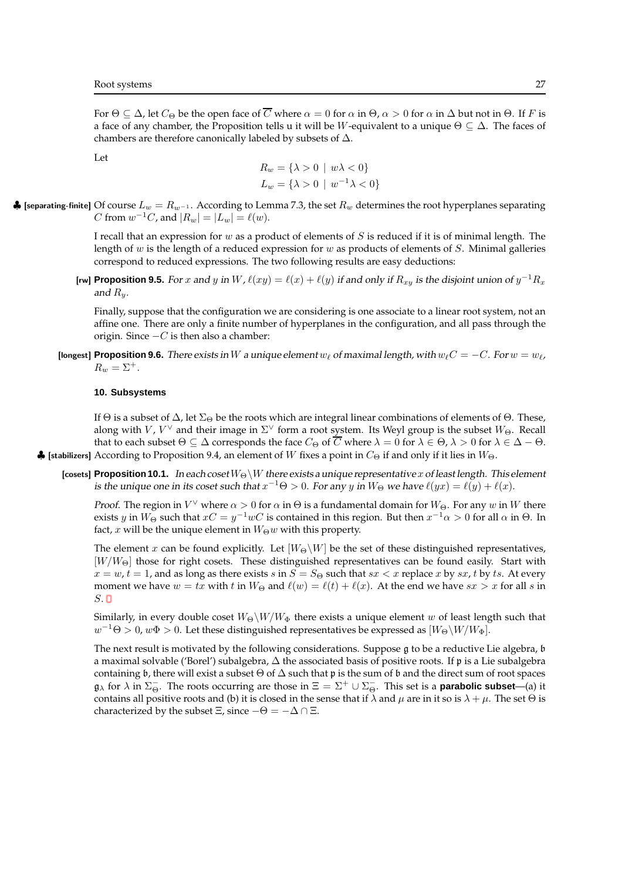For  $\Theta \subseteq \Delta$ , let  $C_{\Theta}$  be the open face of  $\overline{C}$  where  $\alpha = 0$  for  $\alpha$  in  $\Theta$ ,  $\alpha > 0$  for  $\alpha$  in  $\Delta$  but not in  $\Theta$ . If F is a face of any chamber, the Proposition tells u it will be W-equivalent to a unique  $\Theta \subseteq \Delta$ . The faces of chambers are therefore canonically labeled by subsets of ∆.

Let

$$
R_w = \{\lambda > 0 \mid w\lambda < 0\}
$$
  

$$
L_w = \{\lambda > 0 \mid w^{-1}\lambda < 0\}
$$

 $\clubsuit$  [separating-finite] Of course  $L_w = R_{w^{-1}}$ . According to Lemma 7.3, the set  $R_w$  determines the root hyperplanes separating C from  $w^{-1}C$ , and  $|R_w| = |L_w| = \ell(w)$ .

> I recall that an expression for w as a product of elements of  $S$  is reduced if it is of minimal length. The length of w is the length of a reduced expression for w as products of elements of  $S$ . Minimal galleries correspond to reduced expressions. The two following results are easy deductions:

**[rw] Proposition 9.5.** For x and y in W,  $\ell(xy) = \ell(x) + \ell(y)$  if and only if  $R_{xy}$  is the disjoint union of  $y^{-1}R_x$ and  $R_u$ .

Finally, suppose that the configuration we are considering is one associate to a linear root system, not an affine one. There are only a finite number of hyperplanes in the configuration, and all pass through the origin. Since  $-C$  is then also a chamber:

**[longest] Proposition 9.6.** There exists in W a unique element  $w_\ell$  of maximal length, with  $w_\ell C = -C$ . For  $w = w_\ell$ ,  $R_w = \Sigma^+$ .

#### **10. Subsystems**

If  $\Theta$  is a subset of  $\Delta$ , let  $\Sigma_{\Theta}$  be the roots which are integral linear combinations of elements of  $\Theta$ . These, along with  $V$ ,  $V^\vee$  and their image in  $\Sigma^\vee$  form a root system. Its Weyl group is the subset  $W_\Theta$ . Recall that to each subset  $\Theta \subseteq \Delta$  corresponds the face  $C_{\Theta}$  of  $\overline{C}$  where  $\lambda = 0$  for  $\lambda \in \Theta$ ,  $\lambda > 0$  for  $\lambda \in \Delta - \Theta$ .  $\clubsuit$  [stabilizers] According to Proposition 9.4, an element of W fixes a point in  $C_{\Theta}$  if and only if it lies in  $W_{\Theta}$ .

[cosets] **Proposition 10.1.** In each coset  $W_{\Theta}\backslash W$  there exists a unique representative x of least length. This element is the unique one in its coset such that  $x^{-1}\Theta > 0$ . For any  $y$  in  $W_{\Theta}$  we have  $\ell(yx) = \ell(y) + \ell(x)$ .

*Proof*. The region in  $V^\vee$  where  $\alpha > 0$  for  $\alpha$  in  $\Theta$  is a fundamental domain for  $W_\Theta$ . For any  $w$  in  $W$  there exists  $y$  in  $W_\Theta$  such that  $xC=y^{-1}wC$  is contained in this region. But then  $x^{-1}\alpha>0$  for all  $\alpha$  in  $\Theta.$  In fact, x will be the unique element in  $W_{\Theta}w$  with this property.

The element x can be found explicitly. Let  $[W_{\Theta} \backslash W]$  be the set of these distinguished representatives,  $[W/W_{\Theta}]$  those for right cosets. These distinguished representatives can be found easily. Start with  $x = w$ ,  $t = 1$ , and as long as there exists s in  $S = S_{\Theta}$  such that  $sx < x$  replace x by sx, t by ts. At every moment we have  $w = tx$  with t in  $W_{\Theta}$  and  $\ell(w) = \ell(t) + \ell(x)$ . At the end we have  $sx > x$  for all s in  $S.$ 

Similarly, in every double coset  $W_{\Theta} \backslash W/W_{\Phi}$  there exists a unique element w of least length such that  $w^{-1}\Theta > 0$ ,  $w\Phi > 0$ . Let these distinguished representatives be expressed as  $[W_\Theta\backslash W/W_\Phi].$ 

The next result is motivated by the following considerations. Suppose g to be a reductive Lie algebra, b a maximal solvable ('Borel') subalgebra, ∆ the associated basis of positive roots. If p is a Lie subalgebra containing b, there will exist a subset  $\Theta$  of  $\Delta$  such that p is the sum of b and the direct sum of root spaces  $\mathfrak{g}_{\lambda}$  for  $\lambda$  in  $\Sigma_{\Theta}^{-}$ . The roots occurring are those in  $\Xi = \Sigma^{+} \cup \Sigma_{\Theta}^{-}$ . This set is a **parabolic subset**—(a) it contains all positive roots and (b) it is closed in the sense that if  $\lambda$  and  $\mu$  are in it so is  $\lambda + \mu$ . The set  $\Theta$  is characterized by the subset  $\Xi$ , since  $-\Theta = -\Delta \cap \Xi$ .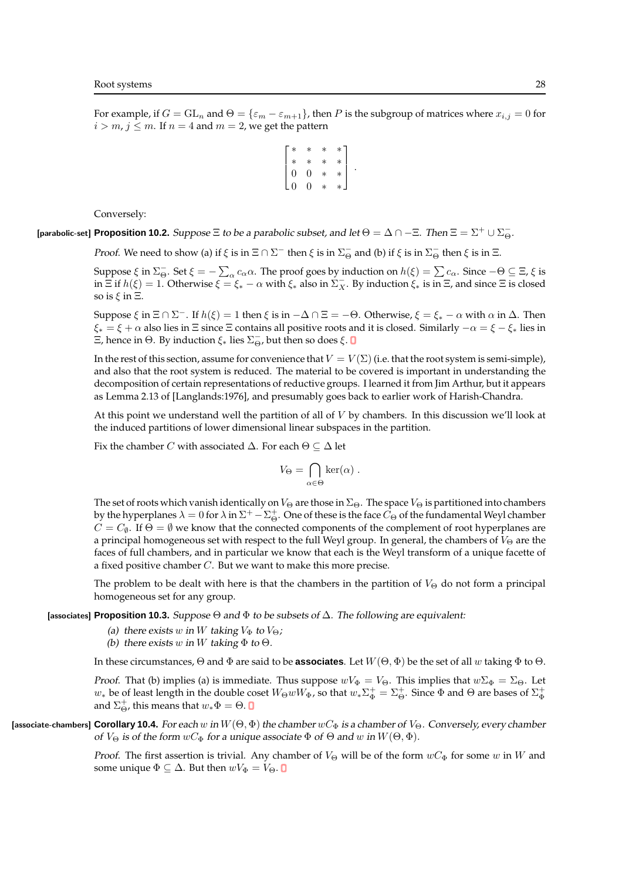For example, if  $G = GL_n$  and  $\Theta = {\epsilon_m - \epsilon_{m+1}}$ , then P is the subgroup of matrices where  $x_{i,j} = 0$  for  $i > m$ ,  $j \le m$ . If  $n = 4$  and  $m = 2$ , we get the pattern

$$
\left[ \begin{matrix} * & * & * & * \\ * & * & * & * \\ 0 & 0 & * & * \\ 0 & 0 & * & * \end{matrix} \right].
$$

Conversely:

**[parabolic-set] Proposition 10.2.** Suppose  $\Xi$  to be a parabolic subset, and let  $\Theta = \Delta \cap -\Xi$ . Then  $\Xi = \Sigma^+ \cup \Sigma^-_\Theta$ .

*Proof.* We need to show (a) if  $\xi$  is in  $\Xi \cap \Sigma^-$  then  $\xi$  is in  $\Sigma^-_\Theta$  and (b) if  $\xi$  is in  $\Sigma^-_\Theta$  then  $\xi$  is in  $\Xi$ .

Suppose  $\xi$  in  $\Sigma_{\Theta}^-$ . Set  $\xi = -\sum_{\alpha} c_{\alpha} \alpha$ . The proof goes by induction on  $h(\xi) = \sum c_{\alpha}$ . Since  $-\Theta \subseteq \Xi$ ,  $\xi$  is in  $\Xi$  if  $h(\xi) = 1$ . Otherwise  $\xi = \xi_* - \alpha$  with  $\xi_*$  also in  $\Sigma_X^-$ . By induction  $\xi_*$  is in  $\Xi$ , and since  $\Xi$  is closed so is  $\xi$  in  $\Xi$ .

Suppose  $\xi$  in  $\Xi \cap \Sigma^-$ . If  $h(\xi) = 1$  then  $\xi$  is in  $-\Delta \cap \Xi = -\Theta$ . Otherwise,  $\xi = \xi_* - \alpha$  with  $\alpha$  in  $\Delta$ . Then  $\xi_* = \xi + \alpha$  also lies in  $\Xi$  since  $\Xi$  contains all positive roots and it is closed. Similarly  $-\alpha = \xi - \xi_*$  lies in Ξ, hence in Θ. By induction  $\xi_*$  lies  $\Sigma_{\Theta}^-$ , but then so does  $\xi$ .

In the rest of this section, assume for convenience that  $V = V(\Sigma)$  (i.e. that the root system is semi-simple), and also that the root system is reduced. The material to be covered is important in understanding the decomposition of certain representations of reductive groups. I learned it from Jim Arthur, but it appears as Lemma 2.13 of [Langlands:1976], and presumably goes back to earlier work of Harish-Chandra.

At this point we understand well the partition of all of V by chambers. In this discussion we'll look at the induced partitions of lower dimensional linear subspaces in the partition.

Fix the chamber *C* with associated  $\Delta$ . For each  $\Theta \subseteq \Delta$  let

$$
V_{\Theta} = \bigcap_{\alpha \in \Theta} \ker(\alpha) .
$$

The set of roots which vanish identically on  $V_{\Theta}$  are those in  $\Sigma_{\Theta}$ . The space  $V_{\Theta}$  is partitioned into chambers by the hyperplanes  $\lambda = 0$  for  $\lambda$  in  $\Sigma^+ - \Sigma_\Theta^+$ . One of these is the face  $C_\Theta$  of the fundamental Weyl chamber  $C = C_{\emptyset}$ . If  $\Theta = \emptyset$  we know that the connected components of the complement of root hyperplanes are a principal homogeneous set with respect to the full Weyl group. In general, the chambers of  $V_{\Theta}$  are the faces of full chambers, and in particular we know that each is the Weyl transform of a unique facette of a fixed positive chamber C. But we want to make this more precise.

The problem to be dealt with here is that the chambers in the partition of  $V_{\Theta}$  do not form a principal homogeneous set for any group.

[associates] **Proposition 10.3.** Suppose Θ and Φ to be subsets of ∆. The following are equivalent:

- (a) there exists w in W taking  $V_{\Phi}$  to  $V_{\Theta}$ ;
- (b) there exists w in W taking  $\Phi$  to  $\Theta$ .

In these circumstances,  $\Theta$  and  $\Phi$  are said to be **associates**. Let  $W(\Theta, \Phi)$  be the set of all w taking  $\Phi$  to  $\Theta$ .

*Proof.* That (b) implies (a) is immediate. Thus suppose  $wV_{\Phi} = V_{\Theta}$ . This implies that  $w\Sigma_{\Phi} = \Sigma_{\Theta}$ . Let  $w_*$  be of least length in the double coset  $W_{\Theta}wW_{\Phi}$ , so that  $w_*\Sigma_{\Phi}^+=\Sigma_{\Theta}^+$ . Since  $\Phi$  and  $\Theta$  are bases of  $\Sigma_{\Phi}^+$ and  $\Sigma^+_{\Theta}$ , this means that  $w_*\Phi=\Theta$ .

[associate-chambers] **Corollary 10.4.** For each w in  $W(\Theta, \Phi)$  the chamber wC<sub>Φ</sub> is a chamber of V<sub>Θ</sub>. Conversely, every chamber of  $V_{\Theta}$  is of the form  $wC_{\Phi}$  for a unique associate  $\Phi$  of  $\Theta$  and  $w$  in  $W(\Theta, \Phi)$ .

> *Proof.* The first assertion is trivial. Any chamber of  $V_{\Theta}$  will be of the form  $wC_{\Phi}$  for some w in W and some unique  $\Phi \subseteq \Delta$ . But then  $wV_{\Phi} = V_{\Theta}$ .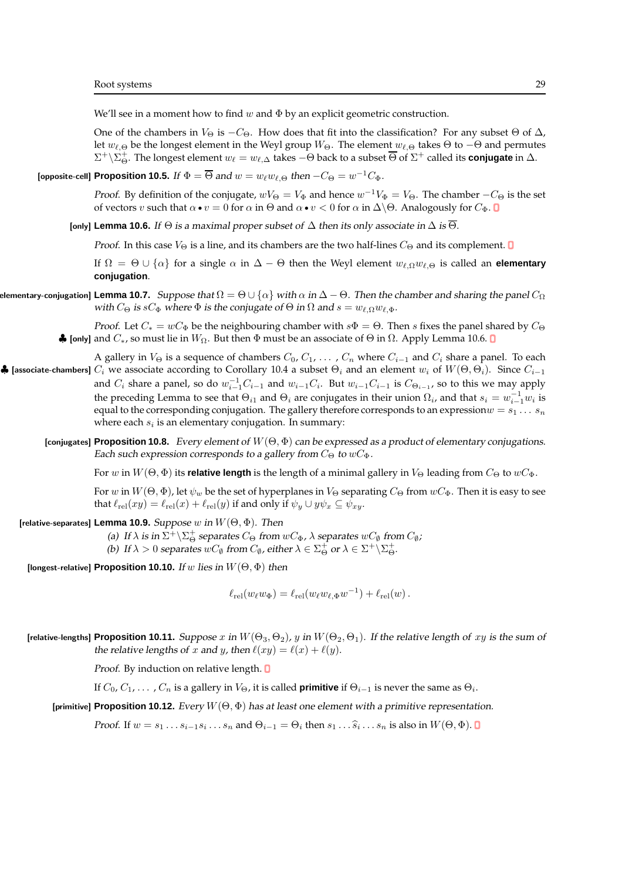We'll see in a moment how to find w and  $\Phi$  by an explicit geometric construction.

One of the chambers in  $V_{\Theta}$  is  $-C_{\Theta}$ . How does that fit into the classification? For any subset  $\Theta$  of  $\Delta$ , let  $w_{\ell,\Theta}$  be the longest element in the Weyl group  $W_{\Theta}$ . The element  $w_{\ell,\Theta}$  takes  $\Theta$  to  $-\Theta$  and permutes  $\Sigma^+ \backslash \Sigma^+_\Theta$ . The longest element  $w_\ell = w_{\ell,\Delta}$  takes  $-\Theta$  back to a subset  $\overline{\Theta}$  of  $\Sigma^+$  called its **conjugate** in  $\Delta$ .

[opposite-cell] Proposition 10.5. If  $\Phi = \overline{\Theta}$  and  $w = w_\ell w_{\ell, \Theta}$  then  $-C_\Theta = w^{-1} C_\Phi$ .

*Proof.* By definition of the conjugate,  $wV_{\Theta} = V_{\Phi}$  and hence  $w^{-1}V_{\Phi} = V_{\Theta}$ . The chamber  $-C_{\Theta}$  is the set of vectors v such that  $\alpha \bullet v = 0$  for  $\alpha$  in  $\Theta$  and  $\alpha \bullet v < 0$  for  $\alpha$  in  $\Delta \setminus \Theta$ . Analogously for  $C_{\Phi}$ .

[only] **Lemma 10.6.** If  $\Theta$  is a maximal proper subset of  $\Delta$  then its only associate in  $\Delta$  is  $\overline{\Theta}$ .

*Proof.* In this case  $V_{\Theta}$  is a line, and its chambers are the two half-lines  $C_{\Theta}$  and its complement.  $\square$ 

If  $\Omega = \Theta \cup \{\alpha\}$  for a single  $\alpha$  in  $\Delta - \Theta$  then the Weyl element  $w_{\ell,\Omega}w_{\ell,\Theta}$  is called an **elementary conjugation**.

**Elementary-conjugation] Lemma 10.7.** Suppose that  $\Omega = \Theta \cup \{\alpha\}$  with  $\alpha$  in  $\Delta - \Theta$ . Then the chamber and sharing the panel  $C_{\Omega}$ with  $C_{\Theta}$  is  $sC_{\Phi}$  where  $\Phi$  is the conjugate of  $\Theta$  in  $\Omega$  and  $s=w_{\ell,\Omega}w_{\ell,\Phi}$ .

> *Proof.* Let  $C_* = wC_{\Phi}$  be the neighbouring chamber with  $s\Phi = \Theta$ . Then s fixes the panel shared by  $C_{\Theta}$  $\clubsuit$  [only] and  $C_*$ , so must lie in  $W_{\Omega}$ . But then Φ must be an associate of  $\Theta$  in  $\Omega$ . Apply Lemma 10.6. □

- A gallery in  $V_{\Theta}$  is a sequence of chambers  $C_0, C_1, \ldots, C_n$  where  $C_{i-1}$  and  $C_i$  share a panel. To each  $\clubsuit$  [associate-chambers]  $C_i$  we associate according to Corollary 10.4 a subset  $\Theta_i$  and an element  $w_i$  of  $W(\Theta,\Theta_i)$ . Since  $C_{i-1}$ and  $C_i$  share a panel, so do  $w_{i-1}^{-1}C_{i-1}$  and  $w_{i-1}C_i$ . But  $w_{i-1}C_{i-1}$  is  $C_{\Theta_{i-1}}$ , so to this we may apply the preceding Lemma to see that  $\Theta_{i1}$  and  $\Theta_i$  are conjugates in their union  $\Omega_i$ , and that  $s_i = w_{i-1}^{-1}w_i$  is equal to the corresponding conjugation. The gallery therefore corresponds to an expression  $w = s_1 \ldots s_n$ where each  $s_i$  is an elementary conjugation. In summary:
	- **[conjugates] Proposition 10.8.** Every element of  $W(\Theta, \Phi)$  can be expressed as a product of elementary conjugations. Each such expression corresponds to a gallery from  $C_{\Theta}$  to  $wC_{\Phi}$ .

For w in  $W(\Theta, \Phi)$  its **relative length** is the length of a minimal gallery in  $V_{\Theta}$  leading from  $C_{\Theta}$  to  $wC_{\Phi}$ .

For w in  $W(\Theta, \Phi)$ , let  $\psi_w$  be the set of hyperplanes in  $V_{\Theta}$  separating  $C_{\Theta}$  from  $wC_{\Phi}$ . Then it is easy to see that  $\ell_{rel}(xy) = \ell_{rel}(x) + \ell_{rel}(y)$  if and only if  $\psi_y \cup y\psi_x \subseteq \psi_{xy}$ .

[relative-separates] **Lemma 10.9.** Suppose w in  $W(\Theta, \Phi)$ . Then

(a) If  $\lambda$  is in  $\Sigma^+ \backslash \Sigma_\Theta^+$  separates  $C_\Theta$  from  $wC_\Phi$ ,  $\lambda$  separates  $wC_\emptyset$  from  $C_\emptyset$ ;

(b) If  $\lambda > 0$  separates  $wC_{\emptyset}$  from  $C_{\emptyset}$ , either  $\lambda \in \Sigma_{\Theta}^{+}$  or  $\lambda \in \Sigma^{+} \backslash \Sigma_{\Theta}^{+}$ .

[longest-relative] **Proposition 10.10.** If w lies in W(Θ, Φ) then

 $\ell_{\rm rel}(w_\ell w_\Phi) = \ell_{\rm rel}(w_\ell w_{\ell,\Phi} w^{-1}) + \ell_{\rm rel}(w)$ .

[relative-lengths] **Proposition 10.11.** Suppose x in  $W(\Theta_3, \Theta_2)$ , y in  $W(\Theta_2, \Theta_1)$ . If the relative length of xy is the sum of the relative lengths of x and y, then  $\ell(xy) = \ell(x) + \ell(y)$ .

Proof. By induction on relative length.

If  $C_0,C_1,\ldots$  ,  $C_n$  is a gallery in  $V_{\Theta}$ , it is called **primitive** if  $\Theta_{i-1}$  is never the same as  $\Theta_i.$ 

[primitive] **Proposition 10.12.** Every  $W(\Theta, \Phi)$  has at least one element with a primitive representation.

*Proof.* If  $w = s_1 \dots s_{i-1} s_i \dots s_n$  and  $\Theta_{i-1} = \Theta_i$  then  $s_1 \dots \widehat{s}_i \dots s_n$  is also in  $W(\Theta, \Phi)$ .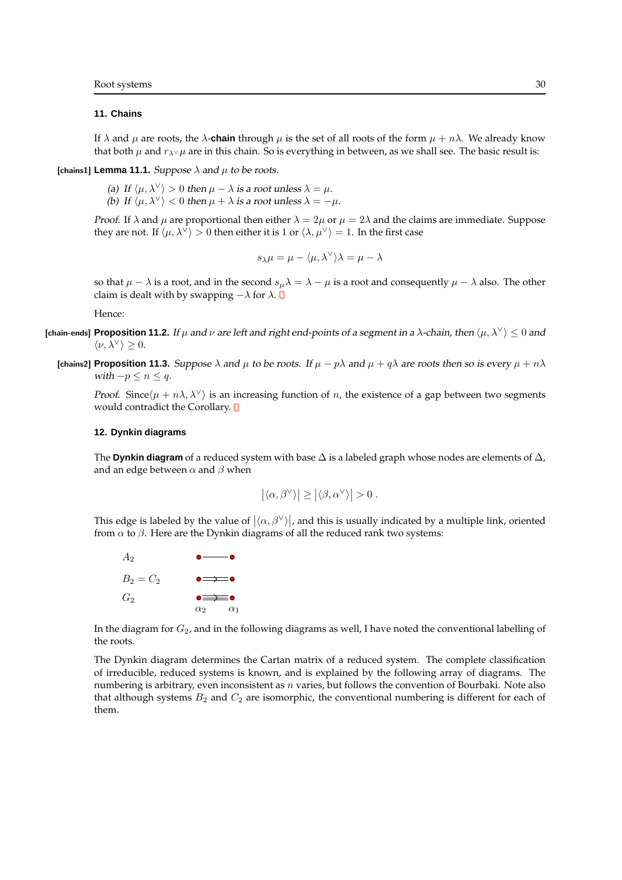### **11. Chains**

If  $\lambda$  and  $\mu$  are roots, the  $\lambda$ -**chain** through  $\mu$  is the set of all roots of the form  $\mu + n\lambda$ . We already know that both  $\mu$  and  $r_{\lambda} \nu \mu$  are in this chain. So is everything in between, as we shall see. The basic result is:

[chains1] **Lemma 11.1.** Suppose  $\lambda$  and  $\mu$  to be roots.

(a) If  $\langle \mu, \lambda^{\vee} \rangle > 0$  then  $\mu - \lambda$  is a root unless  $\lambda = \mu$ . (b) If  $\langle \mu, \lambda^{\vee} \rangle < 0$  then  $\mu + \lambda$  is a root unless  $\lambda = -\mu$ .

*Proof.* If  $\lambda$  and  $\mu$  are proportional then either  $\lambda = 2\mu$  or  $\mu = 2\lambda$  and the claims are immediate. Suppose they are not. If  $\langle \mu, \lambda^{\vee} \rangle > 0$  then either it is 1 or  $\langle \lambda, \mu^{\vee} \rangle = 1$ . In the first case

$$
s_{\lambda}\mu = \mu - \langle \mu, \lambda^{\vee} \rangle \lambda = \mu - \lambda
$$

so that  $\mu - \lambda$  is a root, and in the second  $s_\mu \lambda = \lambda - \mu$  is a root and consequently  $\mu - \lambda$  also. The other claim is dealt with by swapping  $-\lambda$  for  $\lambda$ .

Hence:

- **[chain-ends] Proposition 11.2.** If  $\mu$  and  $\nu$  are left and right end-points of a segment in a  $\lambda$ -chain, then  $\langle \mu, \lambda^{\vee} \rangle < 0$  and  $\langle \nu, \lambda^{\vee} \rangle \geq 0.$ 
	- **[chains2] Proposition 11.3.** Suppose  $\lambda$  and  $\mu$  to be roots. If  $\mu p\lambda$  and  $\mu + q\lambda$  are roots then so is every  $\mu + n\lambda$ with  $-p \leq n \leq q$ .

*Proof.* Since $\langle \mu + n\lambda, \lambda^{\vee} \rangle$  is an increasing function of n, the existence of a gap between two segments would contradict the Corollary.  $\Box$ 

#### **12. Dynkin diagrams**

The **Dynkin diagram** of a reduced system with base  $\Delta$  is a labeled graph whose nodes are elements of  $\Delta$ , and an edge between  $\alpha$  and  $\beta$  when

$$
\left|\langle \alpha, \beta^\vee\rangle\right| \geq \left|\langle \beta, \alpha^\vee\rangle\right| > 0 \; .
$$

This edge is labeled by the value of  $\big|\langle\alpha,\beta^\vee\rangle\big|$ , and this is usually indicated by a multiple link, oriented from  $\alpha$  to  $\beta$ . Here are the Dynkin diagrams of all the reduced rank two systems:



In the diagram for  $G_2$ , and in the following diagrams as well, I have noted the conventional labelling of the roots.

The Dynkin diagram determines the Cartan matrix of a reduced system. The complete classification of irreducible, reduced systems is known, and is explained by the following array of diagrams. The numbering is arbitrary, even inconsistent as  $n$  varies, but follows the convention of Bourbaki. Note also that although systems  $B_2$  and  $C_2$  are isomorphic, the conventional numbering is different for each of them.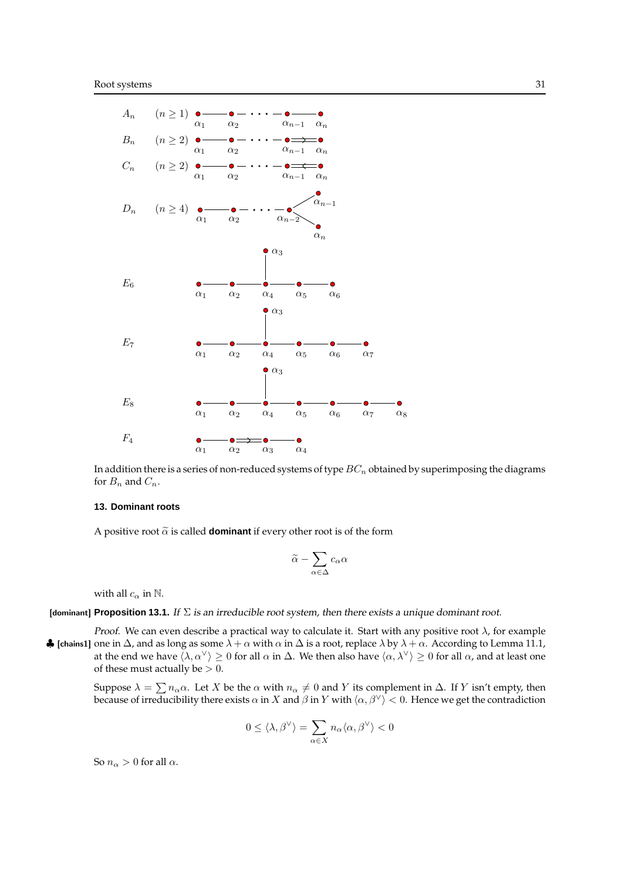

In addition there is a series of non-reduced systems of type  $BC_n$  obtained by superimposing the diagrams for  $B_n$  and  $C_n$ .

#### **13. Dominant roots**

A positive root  $\tilde{\alpha}$  is called **dominant** if every other root is of the form

$$
\widetilde{\alpha}-\sum_{\alpha\in\Delta}c_\alpha\alpha
$$

with all  $c_{\alpha}$  in  $\mathbb{N}$ .

[dominant] **Proposition 13.1.** If Σ is an irreducible root system, then there exists <sup>a</sup> unique dominant root.

Proof. We can even describe a practical way to calculate it. Start with any positive root  $\lambda$ , for example  $\clubsuit$  [chains1] one in  $\Delta$ , and as long as some  $\lambda + \alpha$  with  $\alpha$  in  $\Delta$  is a root, replace  $\lambda$  by  $\lambda + \alpha$ . According to Lemma 11.1, at the end we have  $\langle \lambda, \alpha^\vee \rangle \ge 0$  for all  $\alpha$  in  $\Delta$ . We then also have  $\langle \alpha, \lambda^\vee \rangle \ge 0$  for all  $\alpha$ , and at least one of these must actually be  $> 0$ .

Suppose  $\lambda = \sum n_{\alpha} \alpha$ . Let X be the  $\alpha$  with  $n_{\alpha} \neq 0$  and Y its complement in  $\Delta$ . If Y isn't empty, then because of irreducibility there exists  $\alpha$  in X and  $\beta$  in Y with  $\langle \alpha, \beta^{\vee} \rangle < 0$ . Hence we get the contradiction

$$
0\leq \langle \lambda,\beta^\vee\rangle=\sum_{\alpha\in X}n_\alpha\langle \alpha,\beta^\vee\rangle<0
$$

So  $n_{\alpha} > 0$  for all  $\alpha$ .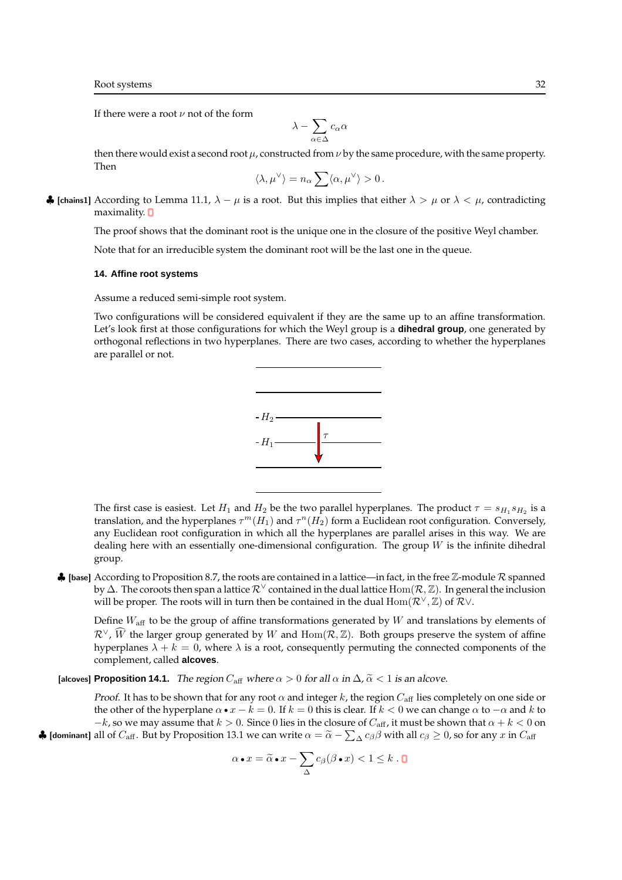If there were a root  $\nu$  not of the form

$$
\lambda-\sum_{\alpha\in\Delta}c_\alpha\alpha
$$

then there would exist a second root  $\mu$ , constructed from  $\nu$  by the same procedure, with the same property. Then

$$
\langle \lambda, \mu^\vee \rangle = n_\alpha \sum \langle \alpha, \mu^\vee \rangle > 0 \,.
$$

 $\clubsuit$  [chains1] According to Lemma 11.1,  $\lambda - \mu$  is a root. But this implies that either  $\lambda > \mu$  or  $\lambda < \mu$ , contradicting maximality.  $\Box$ 

The proof shows that the dominant root is the unique one in the closure of the positive Weyl chamber.

Note that for an irreducible system the dominant root will be the last one in the queue.

### **14. Affine root systems**

Assume a reduced semi-simple root system.

Two configurations will be considered equivalent if they are the same up to an affine transformation. Let's look first at those configurations for which the Weyl group is a **dihedral group**, one generated by orthogonal reflections in two hyperplanes. There are two cases, according to whether the hyperplanes are parallel or not.



The first case is easiest. Let  $H_1$  and  $H_2$  be the two parallel hyperplanes. The product  $\tau = s_{H_1}s_{H_2}$  is a translation, and the hyperplanes  $\tau^m(H_1)$  and  $\tau^n(H_2)$  form a Euclidean root configuration. Conversely, any Euclidean root configuration in which all the hyperplanes are parallel arises in this way. We are dealing here with an essentially one-dimensional configuration. The group  $W$  is the infinite dihedral group.

 $\clubsuit$  [base] According to Proposition 8.7, the roots are contained in a lattice—in fact, in the free  $\mathbb Z$ -module  $\mathcal R$  spanned by  $\Delta$ . The coroots then span a lattice  $\mathcal{R}^{\vee}$  contained in the dual lattice Hom( $\mathcal{R}, \mathbb{Z}$ ). In general the inclusion will be proper. The roots will in turn then be contained in the dual  $\text{Hom}(\mathcal{R}^{\vee}, \mathbb{Z})$  of  $\mathcal{R} \vee$ .

Define  $W_{\text{aff}}$  to be the group of affine transformations generated by W and translations by elements of  $\mathcal{R}^{\vee}, \widehat{W}$  the larger group generated by W and Hom( $\mathcal{R}, \mathbb{Z}$ ). Both groups preserve the system of affine hyperplanes  $\lambda + k = 0$ , where  $\lambda$  is a root, consequently permuting the connected components of the complement, called **alcoves**.

[alcoves] **Proposition 14.1.** The region  $C_{\text{aff}}$  where  $\alpha > 0$  for all  $\alpha$  in  $\Delta$ ,  $\tilde{\alpha} < 1$  is an alcove.

*Proof.* It has to be shown that for any root  $\alpha$  and integer k, the region  $C_{\text{aff}}$  lies completely on one side or the other of the hyperplane  $\alpha \bullet x - k = 0$ . If  $k = 0$  this is clear. If  $k < 0$  we can change  $\alpha$  to  $-\alpha$  and k to  $-k$ , so we may assume that  $k > 0$ . Since 0 lies in the closure of  $C_{\text{aff}}$ , it must be shown that  $\alpha + k < 0$  on **4** [dominant] all of  $C_{\text{aff}}$ . But by Proposition 13.1 we can write  $\alpha = \widetilde{\alpha} - \sum_{\Delta} c_{\beta} \beta$  with all  $c_{\beta} \ge 0$ , so for any  $x$  in  $C_{\text{aff}}$ 

$$
\alpha \bullet x = \widetilde{\alpha} \bullet x - \sum_{\Delta} c_{\beta}(\beta \bullet x) < 1 \leq k \cdot \mathbf{C}
$$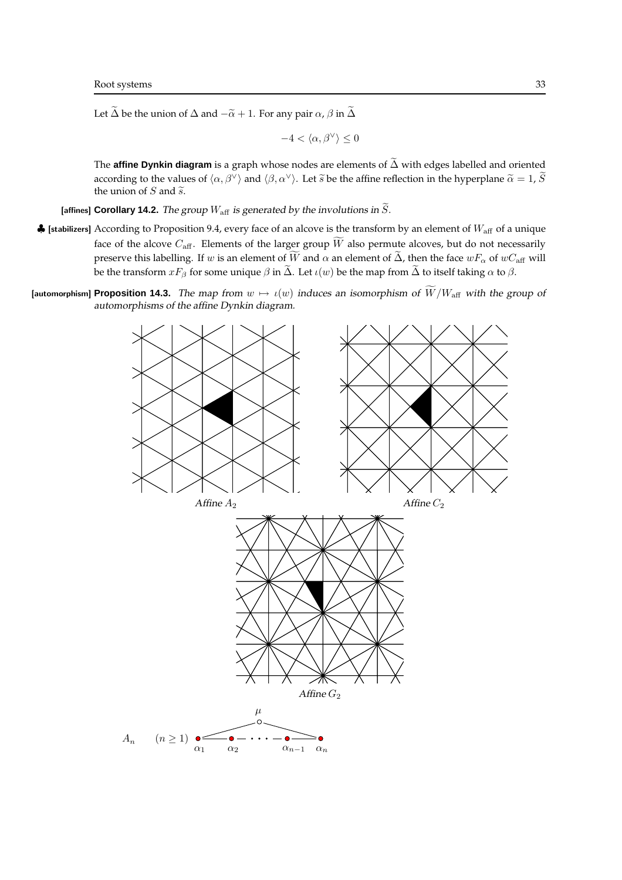Let  $\widetilde{\Delta}$  be the union of  $\Delta$  and  $-\widetilde{\alpha} + 1$ . For any pair  $\alpha$ ,  $\beta$  in  $\widetilde{\Delta}$ 

$$
-4<\langle\alpha,\beta^\vee\rangle\leq 0
$$

The **affine Dynkin diagram** is a graph whose nodes are elements of  $\tilde{\Delta}$  with edges labelled and oriented according to the values of  $\langle \alpha, \beta^{\vee} \rangle$  and  $\langle \beta, \alpha^{\vee} \rangle$ . Let  $\tilde{s}$  be the affine reflection in the hyperplane  $\tilde{\alpha} = 1$ ,  $\tilde{S}$ the union of  $S$  and  $\tilde{s}$ .

[affines] **Corollary 14.2.** The group  $W_{\text{aff}}$  is generated by the involutions in  $\widetilde{S}$ .

- $\clubsuit$  [stabilizers] According to Proposition 9.4, every face of an alcove is the transform by an element of  $W_{\text{aff}}$  of a unique face of the alcove  $C_{\text{aff}}$ . Elements of the larger group  $\widetilde{W}$  also permute alcoves, but do not necessarily preserve this labelling. If w is an element of  $\widetilde{W}$  and  $\alpha$  an element of  $\widetilde{\Delta}$ , then the face  $wF_\alpha$  of  $wC_{\text{aff}}$  will be the transform  $xF_\beta$  for some unique  $\beta$  in  $\tilde{\Delta}$ . Let  $\iota(w)$  be the map from  $\tilde{\Delta}$  to itself taking  $\alpha$  to  $\beta$ .
- [automorphism] **Proposition 14.3.** The map from  $w \mapsto \iota(w)$  induces an isomorphism of  $\widetilde{W}/W_{\text{aff}}$  with the group of automorphisms of the affine Dynkin diagram.

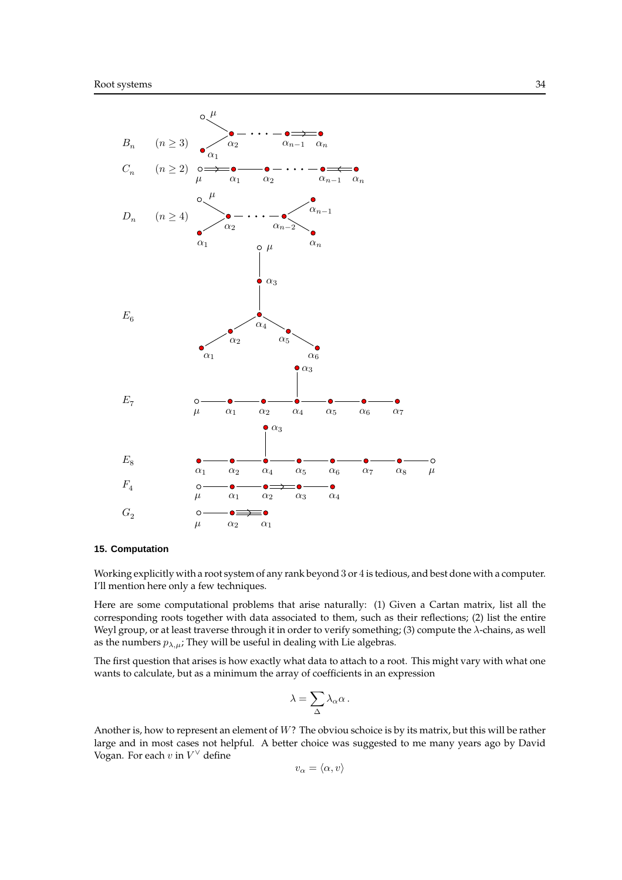

### **15. Computation**

Working explicitly with a root system of any rank beyond 3 or 4 is tedious, and best done with a computer. I'll mention here only a few techniques.

Here are some computational problems that arise naturally: (1) Given a Cartan matrix, list all the corresponding roots together with data associated to them, such as their reflections; (2) list the entire Weyl group, or at least traverse through it in order to verify something; (3) compute the  $\lambda$ -chains, as well as the numbers  $p_{\lambda,\mu}$ ; They will be useful in dealing with Lie algebras.

The first question that arises is how exactly what data to attach to a root. This might vary with what one wants to calculate, but as a minimum the array of coefficients in an expression

$$
\lambda = \sum_{\Delta} \lambda_{\alpha} \alpha \,.
$$

Another is, how to represent an element of W? The obviou schoice is by its matrix, but this will be rather large and in most cases not helpful. A better choice was suggested to me many years ago by David Vogan. For each  $v$  in  $V^{\vee}$  define

$$
v_{\alpha} = \langle \alpha, v \rangle
$$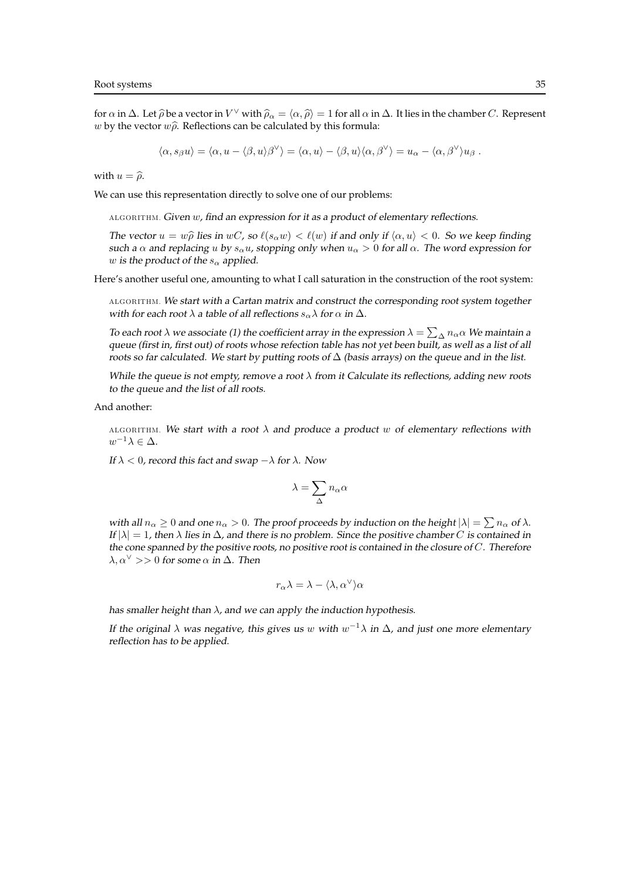for  $\alpha$  in  $\Delta$ . Let  $\widehat{\rho}$  be a vector in  $V^{\vee}$  with  $\widehat{\rho}_{\alpha} = \langle \alpha, \widehat{\rho} \rangle = 1$  for all  $\alpha$  in  $\Delta$ . It lies in the chamber C. Represent w by the vector  $w\hat{\rho}$ . Reflections can be calculated by this formula:

$$
\langle \alpha, s_{\beta} u \rangle = \langle \alpha, u - \langle \beta, u \rangle \beta^{\vee} \rangle = \langle \alpha, u \rangle - \langle \beta, u \rangle \langle \alpha, \beta^{\vee} \rangle = u_{\alpha} - \langle \alpha, \beta^{\vee} \rangle u_{\beta}.
$$

with  $u = \hat{\rho}$ .

We can use this representation directly to solve one of our problems:

ALGORITHM. Given w, find an expression for it as <sup>a</sup> product of elementary reflections.

The vector  $u = w\hat{\rho}$  lies in wC, so  $\ell(s_\alpha w) < \ell(w)$  if and only if  $\langle \alpha, u \rangle < 0$ . So we keep finding such a  $\alpha$  and replacing u by  $s_{\alpha}u$ , stopping only when  $u_{\alpha} > 0$  for all  $\alpha$ . The word expression for w is the product of the  $s_{\alpha}$  applied.

Here's another useful one, amounting to what I call saturation in the construction of the root system:

ALGORITHM. We start with <sup>a</sup> Cartan matrix and construct the corresponding root system together with for each root  $\lambda$  a table of all reflections  $s_{\alpha}\lambda$  for  $\alpha$  in  $\Delta$ .

To each root  $\lambda$  we associate (1) the coefficient array in the expression  $\lambda = \sum_{\Delta} n_{\alpha} \alpha$  We maintain a queue (first in, first out) of roots whose refection table has not yet been built, as well as <sup>a</sup> list of all roots so far calculated. We start by putting roots of  $\Delta$  (basis arrays) on the queue and in the list.

While the queue is not empty, remove a root  $\lambda$  from it Calculate its reflections, adding new roots to the queue and the list of all roots.

And another:

ALGORITHM. We start with a root  $\lambda$  and produce a product w of elementary reflections with  $w^{-1}\lambda \in \Delta$ .

If  $\lambda < 0$ , record this fact and swap  $-\lambda$  for  $\lambda$ . Now

$$
\lambda = \sum_{\Delta} n_{\alpha} \alpha
$$

with all  $n_\alpha \geq 0$  and one  $n_\alpha > 0$ . The proof proceeds by induction on the height  $|\lambda| = \sum n_\alpha$  of  $\lambda$ . If  $|\lambda| = 1$ , then  $\lambda$  lies in  $\Delta$ , and there is no problem. Since the positive chamber C is contained in the cone spanned by the positive roots, no positive root is contained in the closure of  $C$ . Therefore  $\lambda, \alpha^{\vee} >> 0$  for some  $\alpha$  in  $\Delta$ . Then

$$
r_\alpha\lambda=\lambda-\langle\lambda,\alpha^\vee\rangle\alpha
$$

has smaller height than  $\lambda$ , and we can apply the induction hypothesis.

If the original  $\lambda$  was negative, this gives us  $w$  with  $w^{-1}\lambda$  in  $\Delta$ , and just one more elementary reflection has to be applied.